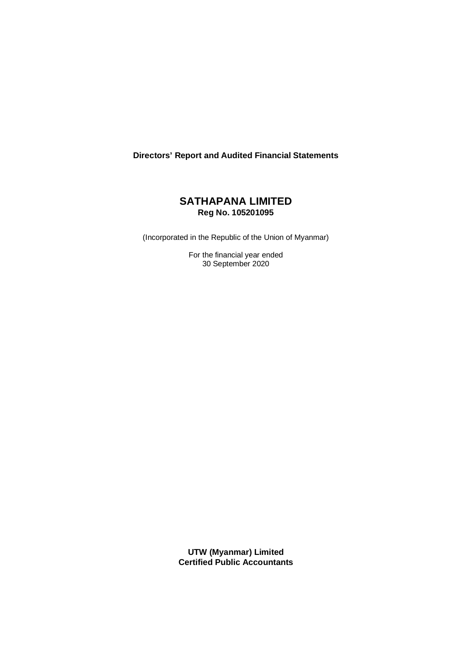# **Directors' Report and Audited Financial Statements**

# **SATHAPANA LIMITED Reg No. 105201095**

(Incorporated in the Republic of the Union of Myanmar)

For the financial year ended 30 September 2020

**UTW (Myanmar) Limited Certified Public Accountants**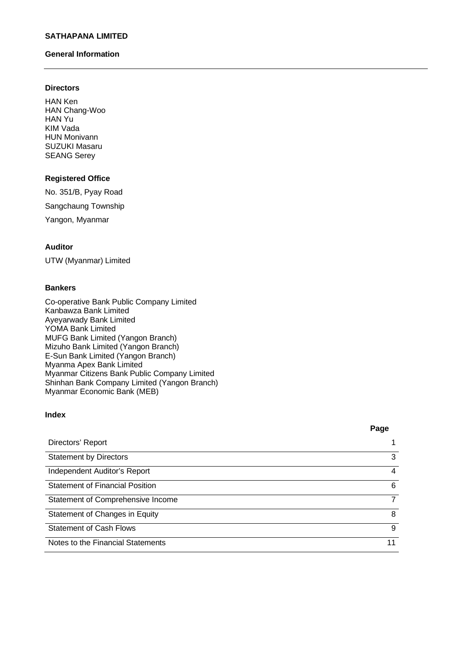# **General Information**

### **Directors**

HAN Ken HAN Chang-Woo HAN Yu KIM Vada HUN Monivann SUZUKI Masaru SEANG Serey

# **Registered Office**

No. 351/B, Pyay Road Sangchaung Township Yangon, Myanmar

# **Auditor**

UTW (Myanmar) Limited

### **Bankers**

Co-operative Bank Public Company Limited Kanbawza Bank Limited Ayeyarwady Bank Limited YOMA Bank Limited MUFG Bank Limited (Yangon Branch) Mizuho Bank Limited (Yangon Branch) E-Sun Bank Limited (Yangon Branch) Myanma Apex Bank Limited Myanmar Citizens Bank Public Company Limited Shinhan Bank Company Limited (Yangon Branch) Myanmar Economic Bank (MEB)

# **Index**

#### **Page**

| Directors' Report                      |    |
|----------------------------------------|----|
| <b>Statement by Directors</b>          | 3  |
| Independent Auditor's Report           | 4  |
| <b>Statement of Financial Position</b> | 6  |
| Statement of Comprehensive Income      |    |
| Statement of Changes in Equity         | 8  |
| <b>Statement of Cash Flows</b>         | 9  |
| Notes to the Financial Statements      | 11 |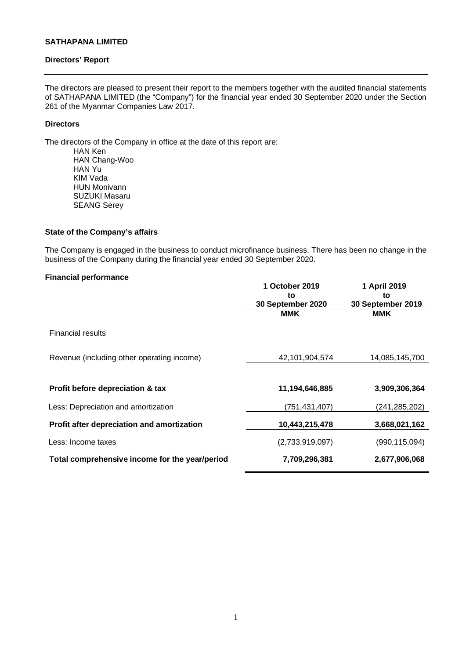### **Directors' Report**

The directors are pleased to present their report to the members together with the audited financial statements of SATHAPANA LIMITED (the "Company") for the financial year ended 30 September 2020 under the Section 261 of the Myanmar Companies Law 2017.

## **Directors**

The directors of the Company in office at the date of this report are:

HAN Ken HAN Chang-Woo HAN Yu KIM Vada HUN Monivann SUZUKI Masaru SEANG Serey

# **State of the Company's affairs**

The Company is engaged in the business to conduct microfinance business. There has been no change in the business of the Company during the financial year ended 30 September 2020.

#### **Financial performance**

|                                                | 1 October 2019<br>to<br>30 September 2020 | 1 April 2019<br>to<br>30 September 2019 |
|------------------------------------------------|-------------------------------------------|-----------------------------------------|
|                                                | <b>MMK</b>                                | <b>MMK</b>                              |
| <b>Financial results</b>                       |                                           |                                         |
| Revenue (including other operating income)     | 42,101,904,574                            | 14,085,145,700                          |
|                                                |                                           |                                         |
| Profit before depreciation & tax               | 11,194,646,885                            | 3,909,306,364                           |
| Less: Depreciation and amortization            | (751,431,407)                             | (241,285,202)                           |
| Profit after depreciation and amortization     | 10,443,215,478                            | 3,668,021,162                           |
| Less: Income taxes                             | (2,733,919,097)                           | (990,115,094)                           |
| Total comprehensive income for the year/period | 7,709,296,381                             | 2,677,906,068                           |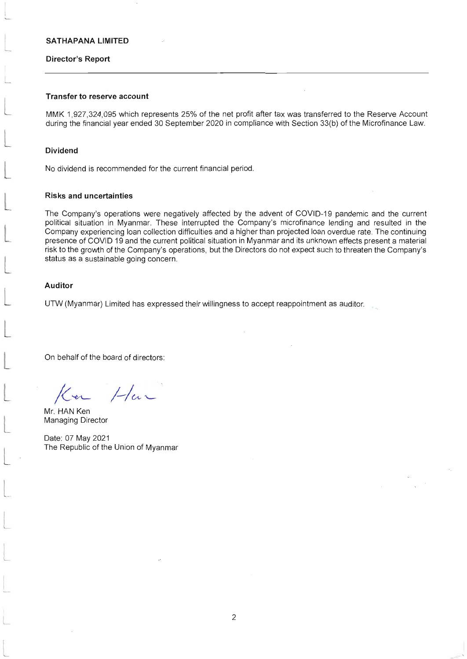#### Director's Report

## Transfer to reserve account

MMK 1,927,324,095 which represents 25% of the net profit after tax was transferred to the Reserve Account during the financial year ended 30 September 2020 in compliance with Section 33(b) of the Microfinance Law.

#### Dividend

No dividend is recommended for the current financial period

#### Risks and uncertainties

The Company's operations were negatively affected by the advent of COVID-19 pandemic and the current political situation in Myanmar. These interrupted the Company's microfinance lending and resulted in the Company experiencing loan collection difficulties and a higher than projected loan overdue rate. The continuing presence of COVID 19 and the current political situation in Myanmar and its unknown effects present a material risk to the growth of the Company's operations, but the Directors do not expect such to threaten the Company's status as a sustainable going concern.

#### Auditor

UTW (Myanmar) Limited has expressed their willingness to accept reappointment as auditor.

On behalf of the board of directors:

 $1$ -/a -

Mr. HAN Ken Managing Director

L

L

L

Date: 07 May 2021 The Republic of the Union of Myanmar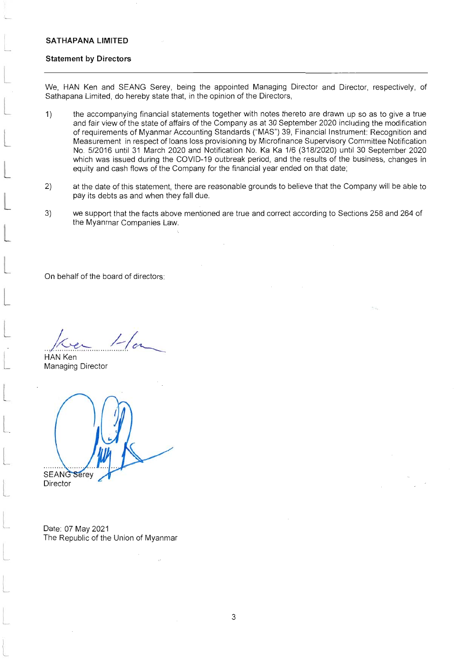### Statement by Directors

We, HAN Ken and SEANG Serey, being the appointed Managing Director and Director, respectively, of Sathapana Limited, do hereby state that, in the opinion of the Directors,

- 1) the accompanying financial statements together with notes thereto are drawn up so as to give a true and fair view of the state of affairs of the Company as at 30 September 2020 including the modification of requirements of Myanmar Accounting Standards ("MAS") 39, Financial Instrument: Recognition and Measurement in respect of loans loss provisioning by Microfinance Supervisory Committee Notification No. 5/20'16 until 31 March 2020 and Notification No. Ka Ka 116 (31812020) until 30 September 2020 which was issued during the COVID-19 outbreak period, and the results of the business, changes in equity and cash flows of the Company for the financial year ended on that date;
- at the date of this statement, there are reasonable grounds to believe that the Company will be able to pay its debts as and when they fall due. 2)
- we support that the facts above mentioned are true and correct according to Sections 258 and 264 of the Myanmar Companies Law. 3)

On behalf of the board of directors:

 $\frac{1}{\sqrt{2\pi}}$   $\frac{1}{\sqrt{2\pi}}$ HAN Ken

Managing Director

**SEANG Serey** 

Director

L

Date: 07 May 2021 The Republic of the Union of Myanmar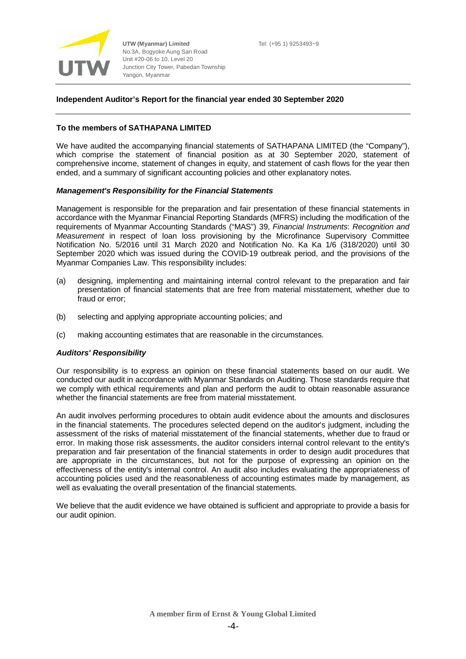

**UTW (Myanmar) Limited** No.3A, Bogyoke Aung San Road Unit #20-06 to 10, Level 20 Junction City Tower, Pabedan Township Yangon, Myanmar

### **Independent Auditor's Report for the financial year ended 30 September 2020**

## **To the members of SATHAPANA LIMITED**

We have audited the accompanying financial statements of SATHAPANA LIMITED (the "Company"), which comprise the statement of financial position as at 30 September 2020, statement of comprehensive income, statement of changes in equity, and statement of cash flows for the year then ended, and a summary of significant accounting policies and other explanatory notes.

### *Management's Responsibility for the Financial Statements*

Management is responsible for the preparation and fair presentation of these financial statements in accordance with the Myanmar Financial Reporting Standards (MFRS) including the modification of the requirements of Myanmar Accounting Standards ("MAS") 39, *Financial Instruments*: *Recognition and Measurement* in respect of loan loss provisioning by the Microfinance Supervisory Committee Notification No. 5/2016 until 31 March 2020 and Notification No. Ka Ka 1/6 (318/2020) until 30 September 2020 which was issued during the COVID-19 outbreak period, and the provisions of the Myanmar Companies Law. This responsibility includes:

- (a) designing, implementing and maintaining internal control relevant to the preparation and fair presentation of financial statements that are free from material misstatement, whether due to fraud or error;
- (b) selecting and applying appropriate accounting policies; and
- (c) making accounting estimates that are reasonable in the circumstances.

## *Auditors' Responsibility*

Our responsibility is to express an opinion on these financial statements based on our audit. We conducted our audit in accordance with Myanmar Standards on Auditing. Those standards require that we comply with ethical requirements and plan and perform the audit to obtain reasonable assurance whether the financial statements are free from material misstatement.

An audit involves performing procedures to obtain audit evidence about the amounts and disclosures in the financial statements. The procedures selected depend on the auditor's judgment, including the assessment of the risks of material misstatement of the financial statements, whether due to fraud or error. In making those risk assessments, the auditor considers internal control relevant to the entity's preparation and fair presentation of the financial statements in order to design audit procedures that are appropriate in the circumstances, but not for the purpose of expressing an opinion on the effectiveness of the entity's internal control. An audit also includes evaluating the appropriateness of accounting policies used and the reasonableness of accounting estimates made by management, as well as evaluating the overall presentation of the financial statements.

We believe that the audit evidence we have obtained is sufficient and appropriate to provide a basis for our audit opinion.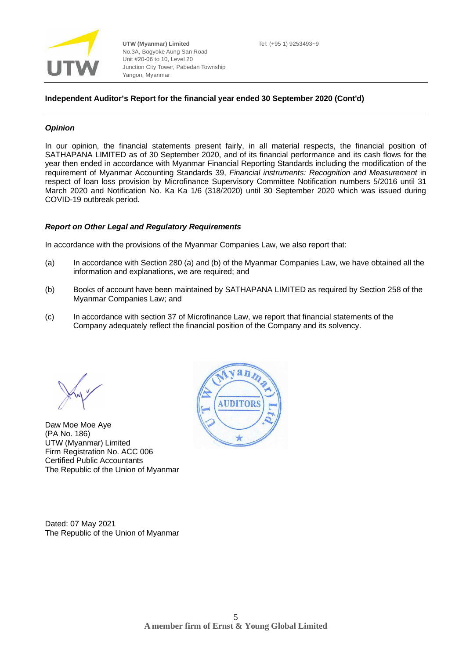

**UTW (Myanmar) Limited** No.3A, Bogyoke Aung San Road Unit #20-06 to 10, Level 20 Junction City Tower, Pabedan Township Yangon, Myanmar

### **Independent Auditor's Report for the financial year ended 30 September 2020 (Cont'd)**

#### *Opinion*

In our opinion, the financial statements present fairly, in all material respects, the financial position of SATHAPANA LIMITED as of 30 September 2020, and of its financial performance and its cash flows for the year then ended in accordance with Myanmar Financial Reporting Standards including the modification of the requirement of Myanmar Accounting Standards 39, *Financial instruments: Recognition and Measurement* in respect of loan loss provision by Microfinance Supervisory Committee Notification numbers 5/2016 until 31 March 2020 and Notification No. Ka Ka 1/6 (318/2020) until 30 September 2020 which was issued during COVID-19 outbreak period.

#### *Report on Other Legal and Regulatory Requirements*

In accordance with the provisions of the Myanmar Companies Law, we also report that:

- (a) In accordance with Section 280 (a) and (b) of the Myanmar Companies Law, we have obtained all the information and explanations, we are required; and
- (b) Books of account have been maintained by SATHAPANA LIMITED as required by Section 258 of the Myanmar Companies Law; and
- (c) In accordance with section 37 of Microfinance Law, we report that financial statements of the Company adequately reflect the financial position of the Company and its solvency.

Daw Moe Moe Aye (PA No. 186) UTW (Myanmar) Limited Firm Registration No. ACC 006 Certified Public Accountants The Republic of the Union of Myanmar



Dated: 07 May 2021 The Republic of the Union of Myanmar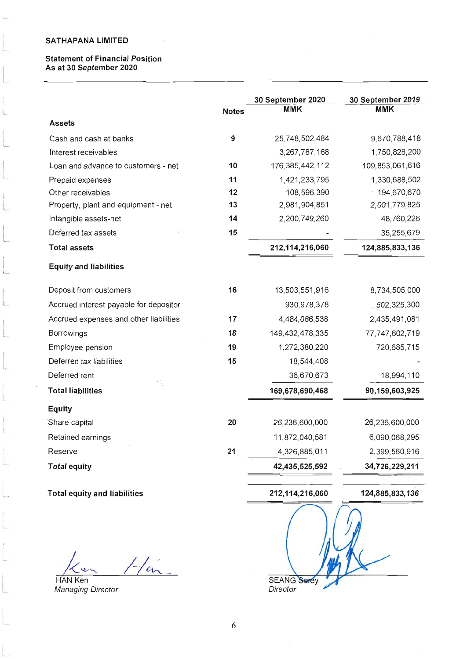i.

t\_

t

# Statement of Financial Position As at 30 September 2020

|                                        | <b>Notes</b> | 30 September 2020<br>MMK | 30 September 2019<br><b>MMK</b> |
|----------------------------------------|--------------|--------------------------|---------------------------------|
| <b>Assets</b>                          |              |                          |                                 |
| Cash and cash at banks                 | 9            | 25,748,502,484           | 9,670,788,418                   |
| Interest receivables                   |              | 3,267,787,168            | 1,750,828,200                   |
| Loan and advance to customers - net    | 10           | 176, 385, 442, 112       | 109,853,061,616                 |
| Prepaid expenses                       | 11           | 1,421,233,795            | 1,330,688,502                   |
| Other receivables                      | 12           | 108,596,390              | 194,670,670                     |
| Property, plant and equipment - net    | 13           | 2,981,904,851            | 2,001,779,825                   |
| Intangible assets-net                  | 14           | 2,200,749,260            | 48,760,226                      |
| Deferred tax assets                    | 15           |                          | 35,255,679                      |
| <b>Total assets</b>                    |              | 212,114,216,060          | 124,885,833,136                 |
| <b>Equity and liabilities</b>          |              |                          |                                 |
| Deposit from customers                 | 16           | 13,503,551,916           | 8,734,505,000                   |
| Accrued interest payable for depositor |              | 930,978,378              | 502,325,300                     |
| Accrued expenses and other liabilities | 17           | 4,484,086,538            | 2,435,491,081                   |
| Borrowings                             | 18           | 149,432,478,335          | 77,747,602,719                  |
| Employee pension                       | 19           | 1,272,380,220            | 720,685,715                     |
| Deferred tax liabilities               | 15           | 18,544,408               |                                 |
| Deferred rent                          |              | 36,670,673               | 18,994,110                      |
| <b>Total liabilities</b>               |              | 169,678,690,468          | 90,159,603,925                  |
| <b>Equity</b>                          |              |                          |                                 |
| Share capital                          | 20           | 26,236,600,000           | 26,236,600,000                  |
| Retained earnings                      |              | 11,872,040,581           | 6,090,068,295                   |
| Reserve                                | 21           | 4,326,885,011            | 2,399,560,916                   |
| <b>Total equity</b>                    |              | 42,435,525,592           | 34,726,229,211                  |
| <b>Total equity and liabilities</b>    |              | 212,114,216,060          | 124,885,833,136                 |
|                                        |              |                          |                                 |

 $1/4$  $\ddot{\mathbf{v}}$ 

Ken Managing Director

SEANG Director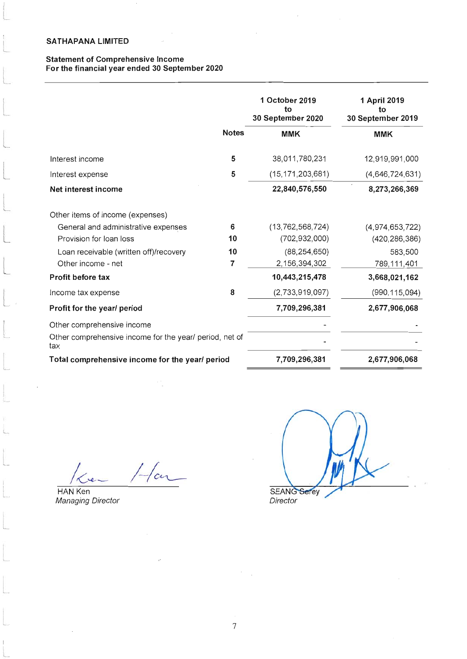# Statement of Comprehensive lncome For the financial year ended 30 September 2020

|                                                                |              | 1 October 2019<br>tο<br>30 September 2020 | 1 April 2019<br>tΟ<br>30 September 2019 |
|----------------------------------------------------------------|--------------|-------------------------------------------|-----------------------------------------|
|                                                                | <b>Notes</b> | <b>MMK</b>                                | <b>MMK</b>                              |
| Interest income                                                | 5            | 38,011,780,231                            | 12,919,991,000                          |
| Interest expense                                               | 5            | (15, 171, 203, 681)                       | (4,646,724,631)                         |
| Net interest income                                            |              | 22,840,576,550                            | 8,273,266,369                           |
| Other items of income (expenses)                               |              |                                           |                                         |
| General and administrative expenses                            | 6            | (13, 762, 568, 724)                       | (4,974,653,722)                         |
| Provision for loan loss                                        | 10           | (702, 932, 000)                           | (420, 286, 386)                         |
| Loan receivable (written off)/recovery                         | 10           | (88, 254, 650)                            | 583,500                                 |
| Other income - net                                             | 7            | 2,156,394,302                             | 789,111,401                             |
| Profit before tax                                              |              | 10,443,215,478                            | 3,668,021,162                           |
| Income tax expense                                             | 8            | (2,733,919,097)                           | (990, 115, 094)                         |
| Profit for the year/ period                                    |              | 7,709,296,381                             | 2,677,906,068                           |
| Other comprehensive income                                     |              |                                           |                                         |
| Other comprehensive income for the year/ period, net of<br>tax |              |                                           |                                         |
| Total comprehensive income for the year/ period                |              | 7,709,296,381                             | 2,677,906,068                           |

1<e- 1-1

HAN Ken Managing Director

 $\overline{\phantom{a}}$ 

L

L

SEAN Director

7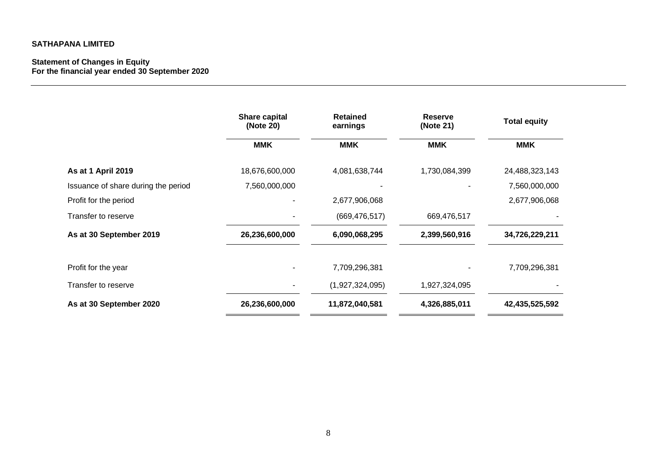#### **Statement of Changes in Equity For the financial year ended 30 September 2020**

|                                     | <b>Share capital</b><br>(Note 20) | <b>Retained</b><br>earnings | <b>Reserve</b><br>(Note 21) | <b>Total equity</b> |
|-------------------------------------|-----------------------------------|-----------------------------|-----------------------------|---------------------|
|                                     | <b>MMK</b>                        | <b>MMK</b>                  | <b>MMK</b>                  | <b>MMK</b>          |
| As at 1 April 2019                  | 18,676,600,000                    | 4,081,638,744               | 1,730,084,399               | 24,488,323,143      |
| Issuance of share during the period | 7,560,000,000                     |                             |                             | 7,560,000,000       |
| Profit for the period               |                                   | 2,677,906,068               |                             | 2,677,906,068       |
| Transfer to reserve                 |                                   | (669, 476, 517)             | 669,476,517                 |                     |
| As at 30 September 2019             | 26,236,600,000                    | 6,090,068,295               | 2,399,560,916               | 34,726,229,211      |
| Profit for the year                 |                                   | 7,709,296,381               |                             | 7,709,296,381       |
| Transfer to reserve                 |                                   | (1,927,324,095)             | 1,927,324,095               |                     |
| As at 30 September 2020             | 26,236,600,000                    | 11,872,040,581              | 4,326,885,011               | 42,435,525,592      |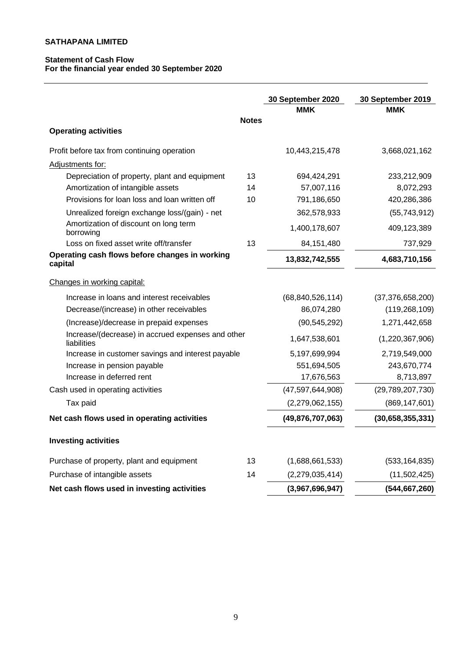# **Statement of Cash Flow For the financial year ended 30 September 2020**

|                                                                  |              | 30 September 2020<br>MMK | 30 September 2019<br><b>MMK</b> |
|------------------------------------------------------------------|--------------|--------------------------|---------------------------------|
| <b>Operating activities</b>                                      | <b>Notes</b> |                          |                                 |
|                                                                  |              |                          |                                 |
| Profit before tax from continuing operation                      |              | 10,443,215,478           | 3,668,021,162                   |
| Adjustments for:                                                 |              |                          |                                 |
| Depreciation of property, plant and equipment                    | 13           | 694,424,291              | 233,212,909                     |
| Amortization of intangible assets                                | 14           | 57,007,116               | 8,072,293                       |
| Provisions for loan loss and loan written off                    | 10           | 791,186,650              | 420,286,386                     |
| Unrealized foreign exchange loss/(gain) - net                    |              | 362,578,933              | (55, 743, 912)                  |
| Amortization of discount on long term<br>borrowing               |              | 1,400,178,607            | 409,123,389                     |
| Loss on fixed asset write off/transfer                           | 13           | 84,151,480               | 737,929                         |
| Operating cash flows before changes in working<br>capital        |              | 13,832,742,555           | 4,683,710,156                   |
| Changes in working capital:                                      |              |                          |                                 |
| Increase in loans and interest receivables                       |              | (68, 840, 526, 114)      | (37, 376, 658, 200)             |
| Decrease/(increase) in other receivables                         |              | 86,074,280               | (119, 268, 109)                 |
| (Increase)/decrease in prepaid expenses                          |              | (90, 545, 292)           | 1,271,442,658                   |
| Increase/(decrease) in accrued expenses and other<br>liabilities |              | 1,647,538,601            | (1,220,367,906)                 |
| Increase in customer savings and interest payable                |              | 5,197,699,994            | 2,719,549,000                   |
| Increase in pension payable                                      |              | 551,694,505              | 243,670,774                     |
| Increase in deferred rent                                        |              | 17,676,563               | 8,713,897                       |
| Cash used in operating activities                                |              | (47, 597, 644, 908)      | (29,789,207,730)                |
| Tax paid                                                         |              | (2, 279, 062, 155)       | (869, 147, 601)                 |
| Net cash flows used in operating activities                      |              | (49, 876, 707, 063)      | (30,658,355,331)                |
| <b>Investing activities</b>                                      |              |                          |                                 |
| Purchase of property, plant and equipment                        | 13           | (1,688,661,533)          | (533, 164, 835)                 |
| Purchase of intangible assets                                    | 14           | (2,279,035,414)          | (11,502,425)                    |
| Net cash flows used in investing activities                      |              | (3,967,696,947)          | (544, 667, 260)                 |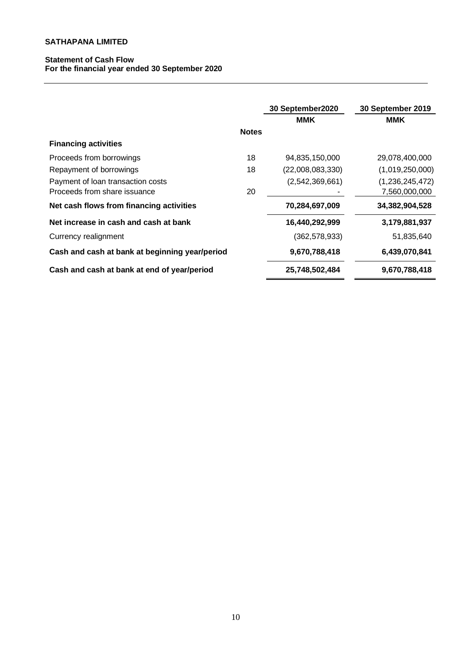# **Statement of Cash Flow For the financial year ended 30 September 2020**

|                                                |              | 30 September2020 | 30 September 2019 |
|------------------------------------------------|--------------|------------------|-------------------|
|                                                |              | MMK              | MMK               |
|                                                | <b>Notes</b> |                  |                   |
| <b>Financing activities</b>                    |              |                  |                   |
| Proceeds from borrowings                       | 18           | 94,835,150,000   | 29,078,400,000    |
| Repayment of borrowings                        | 18           | (22,008,083,330) | (1,019,250,000)   |
| Payment of loan transaction costs              |              | (2,542,369,661)  | (1,236,245,472)   |
| Proceeds from share issuance                   | 20           |                  | 7,560,000,000     |
| Net cash flows from financing activities       |              | 70,284,697,009   | 34,382,904,528    |
| Net increase in cash and cash at bank          |              | 16,440,292,999   | 3,179,881,937     |
| Currency realignment                           |              | (362, 578, 933)  | 51,835,640        |
| Cash and cash at bank at beginning year/period |              | 9,670,788,418    | 6,439,070,841     |
| Cash and cash at bank at end of year/period    |              | 25,748,502,484   | 9,670,788,418     |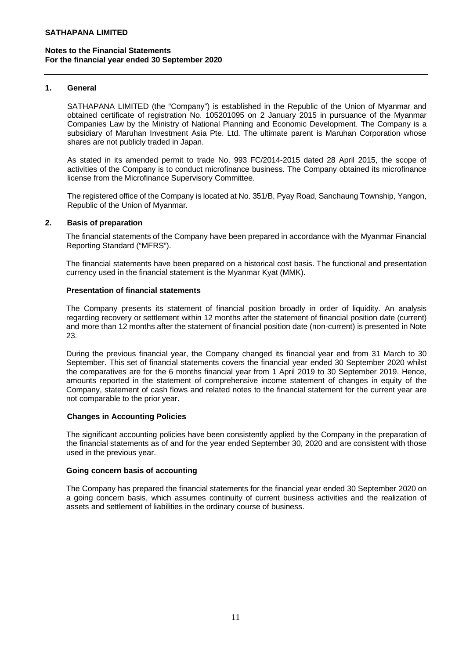### **1. General**

SATHAPANA LIMITED (the "Company") is established in the Republic of the Union of Myanmar and obtained certificate of registration No. 105201095 on 2 January 2015 in pursuance of the Myanmar Companies Law by the Ministry of National Planning and Economic Development. The Company is a subsidiary of Maruhan Investment Asia Pte. Ltd. The ultimate parent is Maruhan Corporation whose shares are not publicly traded in Japan.

As stated in its amended permit to trade No. 993 FC/2014-2015 dated 28 April 2015, the scope of activities of the Company is to conduct microfinance business. The Company obtained its microfinance license from the Microfinance Supervisory Committee.

The registered office of the Company is located at No. 351/B, Pyay Road, Sanchaung Township, Yangon, Republic of the Union of Myanmar.

### **2. Basis of preparation**

The financial statements of the Company have been prepared in accordance with the Myanmar Financial Reporting Standard ("MFRS").

The financial statements have been prepared on a historical cost basis. The functional and presentation currency used in the financial statement is the Myanmar Kyat (MMK).

### **Presentation of financial statements**

The Company presents its statement of financial position broadly in order of liquidity. An analysis regarding recovery or settlement within 12 months after the statement of financial position date (current) and more than 12 months after the statement of financial position date (non-current) is presented in Note 23.

During the previous financial year, the Company changed its financial year end from 31 March to 30 September. This set of financial statements covers the financial year ended 30 September 2020 whilst the comparatives are for the 6 months financial year from 1 April 2019 to 30 September 2019. Hence, amounts reported in the statement of comprehensive income statement of changes in equity of the Company, statement of cash flows and related notes to the financial statement for the current year are not comparable to the prior year.

#### **Changes in Accounting Policies**

The significant accounting policies have been consistently applied by the Company in the preparation of the financial statements as of and for the year ended September 30, 2020 and are consistent with those used in the previous year.

#### **Going concern basis of accounting**

The Company has prepared the financial statements for the financial year ended 30 September 2020 on a going concern basis, which assumes continuity of current business activities and the realization of assets and settlement of liabilities in the ordinary course of business.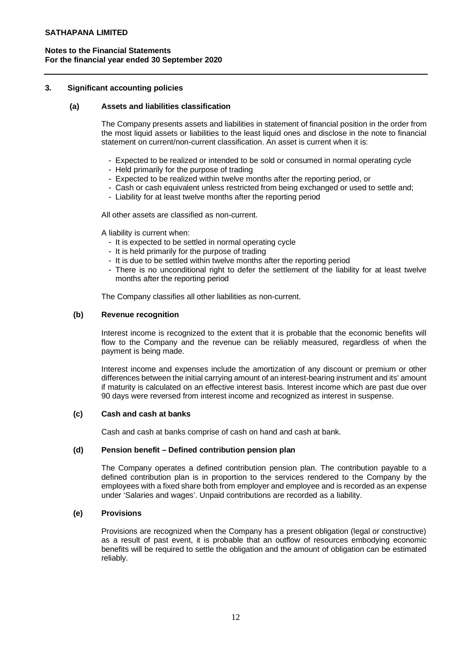## **3. Significant accounting policies**

### **(a) Assets and liabilities classification**

The Company presents assets and liabilities in statement of financial position in the order from the most liquid assets or liabilities to the least liquid ones and disclose in the note to financial statement on current/non-current classification. An asset is current when it is:

- Expected to be realized or intended to be sold or consumed in normal operating cycle
- Held primarily for the purpose of trading
- Expected to be realized within twelve months after the reporting period, or
- Cash or cash equivalent unless restricted from being exchanged or used to settle and;
- Liability for at least twelve months after the reporting period

All other assets are classified as non-current.

A liability is current when:

- It is expected to be settled in normal operating cycle
- It is held primarily for the purpose of trading
- It is due to be settled within twelve months after the reporting period
- There is no unconditional right to defer the settlement of the liability for at least twelve months after the reporting period

The Company classifies all other liabilities as non-current.

### **(b) Revenue recognition**

Interest income is recognized to the extent that it is probable that the economic benefits will flow to the Company and the revenue can be reliably measured, regardless of when the payment is being made.

Interest income and expenses include the amortization of any discount or premium or other differences between the initial carrying amount of an interest-bearing instrument and its' amount if maturity is calculated on an effective interest basis. Interest income which are past due over 90 days were reversed from interest income and recognized as interest in suspense.

#### **(c) Cash and cash at banks**

Cash and cash at banks comprise of cash on hand and cash at bank.

# **(d) Pension benefit – Defined contribution pension plan**

The Company operates a defined contribution pension plan. The contribution payable to a defined contribution plan is in proportion to the services rendered to the Company by the employees with a fixed share both from employer and employee and is recorded as an expense under 'Salaries and wages'. Unpaid contributions are recorded as a liability.

# **(e) Provisions**

Provisions are recognized when the Company has a present obligation (legal or constructive) as a result of past event, it is probable that an outflow of resources embodying economic benefits will be required to settle the obligation and the amount of obligation can be estimated reliably.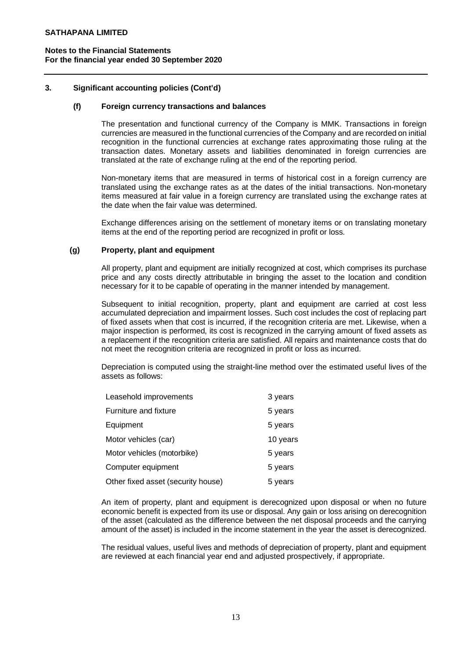# **3. Significant accounting policies (Cont'd)**

### **(f) Foreign currency transactions and balances**

The presentation and functional currency of the Company is MMK. Transactions in foreign currencies are measured in the functional currencies of the Company and are recorded on initial recognition in the functional currencies at exchange rates approximating those ruling at the transaction dates. Monetary assets and liabilities denominated in foreign currencies are translated at the rate of exchange ruling at the end of the reporting period.

Non-monetary items that are measured in terms of historical cost in a foreign currency are translated using the exchange rates as at the dates of the initial transactions. Non-monetary items measured at fair value in a foreign currency are translated using the exchange rates at the date when the fair value was determined.

Exchange differences arising on the settlement of monetary items or on translating monetary items at the end of the reporting period are recognized in profit or loss.

### **(g) Property, plant and equipment**

All property, plant and equipment are initially recognized at cost, which comprises its purchase price and any costs directly attributable in bringing the asset to the location and condition necessary for it to be capable of operating in the manner intended by management.

Subsequent to initial recognition, property, plant and equipment are carried at cost less accumulated depreciation and impairment losses. Such cost includes the cost of replacing part of fixed assets when that cost is incurred, if the recognition criteria are met. Likewise, when a major inspection is performed, its cost is recognized in the carrying amount of fixed assets as a replacement if the recognition criteria are satisfied. All repairs and maintenance costs that do not meet the recognition criteria are recognized in profit or loss as incurred.

Depreciation is computed using the straight-line method over the estimated useful lives of the assets as follows:

| Leasehold improvements             | 3 years  |
|------------------------------------|----------|
| Furniture and fixture              | 5 years  |
| Equipment                          | 5 years  |
| Motor vehicles (car)               | 10 years |
| Motor vehicles (motorbike)         | 5 years  |
| Computer equipment                 | 5 years  |
| Other fixed asset (security house) | 5 years  |

An item of property, plant and equipment is derecognized upon disposal or when no future economic benefit is expected from its use or disposal. Any gain or loss arising on derecognition of the asset (calculated as the difference between the net disposal proceeds and the carrying amount of the asset) is included in the income statement in the year the asset is derecognized.

The residual values, useful lives and methods of depreciation of property, plant and equipment are reviewed at each financial year end and adjusted prospectively, if appropriate.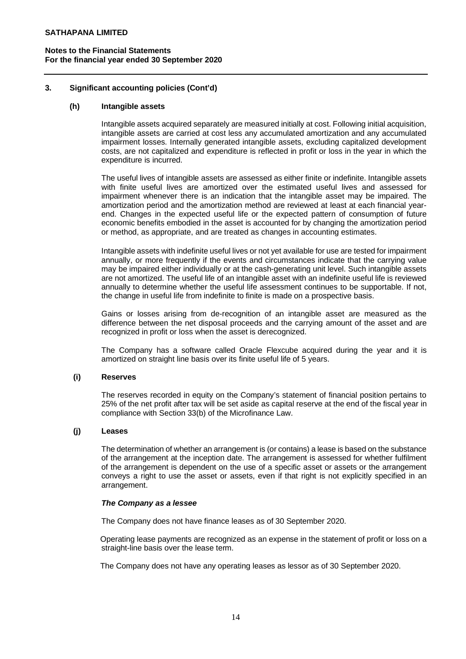# **3. Significant accounting policies (Cont'd)**

### **(h) Intangible assets**

Intangible assets acquired separately are measured initially at cost. Following initial acquisition, intangible assets are carried at cost less any accumulated amortization and any accumulated impairment losses. Internally generated intangible assets, excluding capitalized development costs, are not capitalized and expenditure is reflected in profit or loss in the year in which the expenditure is incurred.

The useful lives of intangible assets are assessed as either finite or indefinite. Intangible assets with finite useful lives are amortized over the estimated useful lives and assessed for impairment whenever there is an indication that the intangible asset may be impaired. The amortization period and the amortization method are reviewed at least at each financial yearend. Changes in the expected useful life or the expected pattern of consumption of future economic benefits embodied in the asset is accounted for by changing the amortization period or method, as appropriate, and are treated as changes in accounting estimates.

Intangible assets with indefinite useful lives or not yet available for use are tested for impairment annually, or more frequently if the events and circumstances indicate that the carrying value may be impaired either individually or at the cash-generating unit level. Such intangible assets are not amortized. The useful life of an intangible asset with an indefinite useful life is reviewed annually to determine whether the useful life assessment continues to be supportable. If not, the change in useful life from indefinite to finite is made on a prospective basis.

Gains or losses arising from de-recognition of an intangible asset are measured as the difference between the net disposal proceeds and the carrying amount of the asset and are recognized in profit or loss when the asset is derecognized.

The Company has a software called Oracle Flexcube acquired during the year and it is amortized on straight line basis over its finite useful life of 5 years.

# **(i) Reserves**

The reserves recorded in equity on the Company's statement of financial position pertains to 25% of the net profit after tax will be set aside as capital reserve at the end of the fiscal year in compliance with Section 33(b) of the Microfinance Law.

# **(j) Leases**

The determination of whether an arrangement is (or contains) a lease is based on the substance of the arrangement at the inception date. The arrangement is assessed for whether fulfilment of the arrangement is dependent on the use of a specific asset or assets or the arrangement conveys a right to use the asset or assets, even if that right is not explicitly specified in an arrangement.

#### *The Company as a lessee*

The Company does not have finance leases as of 30 September 2020.

Operating lease payments are recognized as an expense in the statement of profit or loss on a straight-line basis over the lease term.

The Company does not have any operating leases as lessor as of 30 September 2020.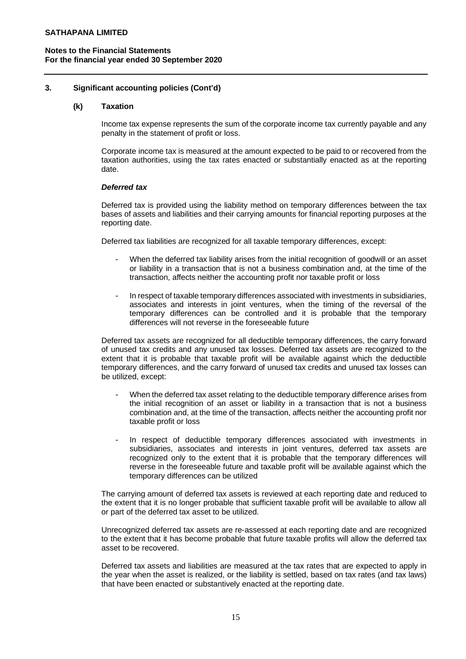## **3. Significant accounting policies (Cont'd)**

#### **(k) Taxation**

Income tax expense represents the sum of the corporate income tax currently payable and any penalty in the statement of profit or loss.

Corporate income tax is measured at the amount expected to be paid to or recovered from the taxation authorities, using the tax rates enacted or substantially enacted as at the reporting date.

#### *Deferred tax*

Deferred tax is provided using the liability method on temporary differences between the tax bases of assets and liabilities and their carrying amounts for financial reporting purposes at the reporting date.

Deferred tax liabilities are recognized for all taxable temporary differences, except:

- When the deferred tax liability arises from the initial recognition of goodwill or an asset or liability in a transaction that is not a business combination and, at the time of the transaction, affects neither the accounting profit nor taxable profit or loss
- In respect of taxable temporary differences associated with investments in subsidiaries, associates and interests in joint ventures, when the timing of the reversal of the temporary differences can be controlled and it is probable that the temporary differences will not reverse in the foreseeable future

Deferred tax assets are recognized for all deductible temporary differences, the carry forward of unused tax credits and any unused tax losses. Deferred tax assets are recognized to the extent that it is probable that taxable profit will be available against which the deductible temporary differences, and the carry forward of unused tax credits and unused tax losses can be utilized, except:

- When the deferred tax asset relating to the deductible temporary difference arises from the initial recognition of an asset or liability in a transaction that is not a business combination and, at the time of the transaction, affects neither the accounting profit nor taxable profit or loss
- In respect of deductible temporary differences associated with investments in subsidiaries, associates and interests in joint ventures, deferred tax assets are recognized only to the extent that it is probable that the temporary differences will reverse in the foreseeable future and taxable profit will be available against which the temporary differences can be utilized

The carrying amount of deferred tax assets is reviewed at each reporting date and reduced to the extent that it is no longer probable that sufficient taxable profit will be available to allow all or part of the deferred tax asset to be utilized.

Unrecognized deferred tax assets are re-assessed at each reporting date and are recognized to the extent that it has become probable that future taxable profits will allow the deferred tax asset to be recovered.

Deferred tax assets and liabilities are measured at the tax rates that are expected to apply in the year when the asset is realized, or the liability is settled, based on tax rates (and tax laws) that have been enacted or substantively enacted at the reporting date.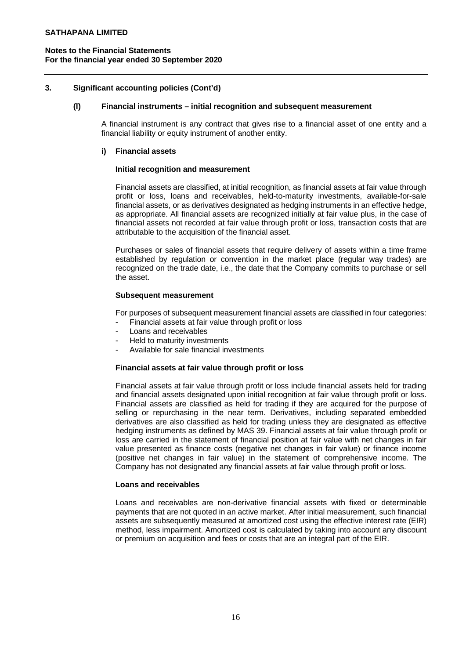## **3. Significant accounting policies (Cont'd)**

#### **(l) Financial instruments – initial recognition and subsequent measurement**

A financial instrument is any contract that gives rise to a financial asset of one entity and a financial liability or equity instrument of another entity.

#### **i) Financial assets**

#### **Initial recognition and measurement**

Financial assets are classified, at initial recognition, as financial assets at fair value through profit or loss, loans and receivables, held-to-maturity investments, available-for-sale financial assets, or as derivatives designated as hedging instruments in an effective hedge, as appropriate. All financial assets are recognized initially at fair value plus, in the case of financial assets not recorded at fair value through profit or loss, transaction costs that are attributable to the acquisition of the financial asset.

Purchases or sales of financial assets that require delivery of assets within a time frame established by regulation or convention in the market place (regular way trades) are recognized on the trade date, i.e., the date that the Company commits to purchase or sell the asset.

#### **Subsequent measurement**

For purposes of subsequent measurement financial assets are classified in four categories:

- Financial assets at fair value through profit or loss
- Loans and receivables
- Held to maturity investments
- Available for sale financial investments

#### **Financial assets at fair value through profit or loss**

Financial assets at fair value through profit or loss include financial assets held for trading and financial assets designated upon initial recognition at fair value through profit or loss. Financial assets are classified as held for trading if they are acquired for the purpose of selling or repurchasing in the near term. Derivatives, including separated embedded derivatives are also classified as held for trading unless they are designated as effective hedging instruments as defined by MAS 39. Financial assets at fair value through profit or loss are carried in the statement of financial position at fair value with net changes in fair value presented as finance costs (negative net changes in fair value) or finance income (positive net changes in fair value) in the statement of comprehensive income. The Company has not designated any financial assets at fair value through profit or loss.

#### **Loans and receivables**

Loans and receivables are non-derivative financial assets with fixed or determinable payments that are not quoted in an active market. After initial measurement, such financial assets are subsequently measured at amortized cost using the effective interest rate (EIR) method, less impairment. Amortized cost is calculated by taking into account any discount or premium on acquisition and fees or costs that are an integral part of the EIR.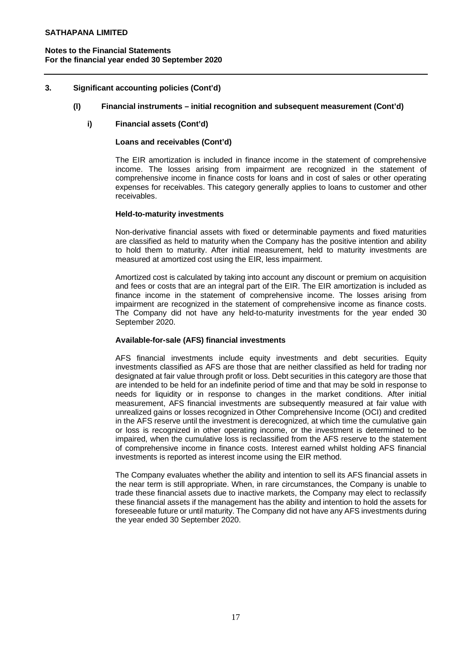# **3. Significant accounting policies (Cont'd)**

### **(l) Financial instruments – initial recognition and subsequent measurement (Cont'd)**

### **i) Financial assets (Cont'd)**

## **Loans and receivables (Cont'd)**

The EIR amortization is included in finance income in the statement of comprehensive income. The losses arising from impairment are recognized in the statement of comprehensive income in finance costs for loans and in cost of sales or other operating expenses for receivables. This category generally applies to loans to customer and other receivables.

#### **Held-to-maturity investments**

Non-derivative financial assets with fixed or determinable payments and fixed maturities are classified as held to maturity when the Company has the positive intention and ability to hold them to maturity. After initial measurement, held to maturity investments are measured at amortized cost using the EIR, less impairment.

Amortized cost is calculated by taking into account any discount or premium on acquisition and fees or costs that are an integral part of the EIR. The EIR amortization is included as finance income in the statement of comprehensive income. The losses arising from impairment are recognized in the statement of comprehensive income as finance costs. The Company did not have any held-to-maturity investments for the year ended 30 September 2020.

#### **Available-for-sale (AFS) financial investments**

AFS financial investments include equity investments and debt securities. Equity investments classified as AFS are those that are neither classified as held for trading nor designated at fair value through profit or loss. Debt securities in this category are those that are intended to be held for an indefinite period of time and that may be sold in response to needs for liquidity or in response to changes in the market conditions. After initial measurement, AFS financial investments are subsequently measured at fair value with unrealized gains or losses recognized in Other Comprehensive Income (OCI) and credited in the AFS reserve until the investment is derecognized, at which time the cumulative gain or loss is recognized in other operating income, or the investment is determined to be impaired, when the cumulative loss is reclassified from the AFS reserve to the statement of comprehensive income in finance costs. Interest earned whilst holding AFS financial investments is reported as interest income using the EIR method.

The Company evaluates whether the ability and intention to sell its AFS financial assets in the near term is still appropriate. When, in rare circumstances, the Company is unable to trade these financial assets due to inactive markets, the Company may elect to reclassify these financial assets if the management has the ability and intention to hold the assets for foreseeable future or until maturity. The Company did not have any AFS investments during the year ended 30 September 2020.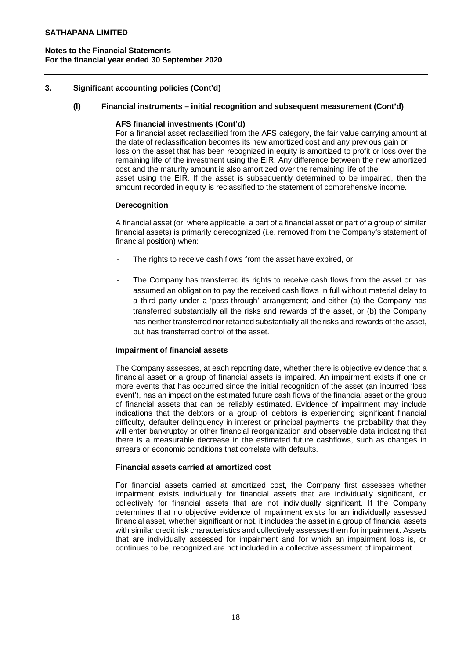# **3. Significant accounting policies (Cont'd)**

## **(l) Financial instruments – initial recognition and subsequent measurement (Cont'd)**

### **AFS financial investments (Cont'd)**

For a financial asset reclassified from the AFS category, the fair value carrying amount at the date of reclassification becomes its new amortized cost and any previous gain or loss on the asset that has been recognized in equity is amortized to profit or loss over the remaining life of the investment using the EIR. Any difference between the new amortized cost and the maturity amount is also amortized over the remaining life of the asset using the EIR. If the asset is subsequently determined to be impaired, then the amount recorded in equity is reclassified to the statement of comprehensive income.

### **Derecognition**

A financial asset (or, where applicable, a part of a financial asset or part of a group of similar financial assets) is primarily derecognized (i.e. removed from the Company's statement of financial position) when:

- The rights to receive cash flows from the asset have expired, or
- The Company has transferred its rights to receive cash flows from the asset or has assumed an obligation to pay the received cash flows in full without material delay to a third party under a 'pass-through' arrangement; and either (a) the Company has transferred substantially all the risks and rewards of the asset, or (b) the Company has neither transferred nor retained substantially all the risks and rewards of the asset, but has transferred control of the asset.

# **Impairment of financial assets**

The Company assesses, at each reporting date, whether there is objective evidence that a financial asset or a group of financial assets is impaired. An impairment exists if one or more events that has occurred since the initial recognition of the asset (an incurred 'loss event'), has an impact on the estimated future cash flows of the financial asset or the group of financial assets that can be reliably estimated. Evidence of impairment may include indications that the debtors or a group of debtors is experiencing significant financial difficulty, defaulter delinquency in interest or principal payments, the probability that they will enter bankruptcy or other financial reorganization and observable data indicating that there is a measurable decrease in the estimated future cashflows, such as changes in arrears or economic conditions that correlate with defaults.

### **Financial assets carried at amortized cost**

For financial assets carried at amortized cost, the Company first assesses whether impairment exists individually for financial assets that are individually significant, or collectively for financial assets that are not individually significant. If the Company determines that no objective evidence of impairment exists for an individually assessed financial asset, whether significant or not, it includes the asset in a group of financial assets with similar credit risk characteristics and collectively assesses them for impairment. Assets that are individually assessed for impairment and for which an impairment loss is, or continues to be, recognized are not included in a collective assessment of impairment.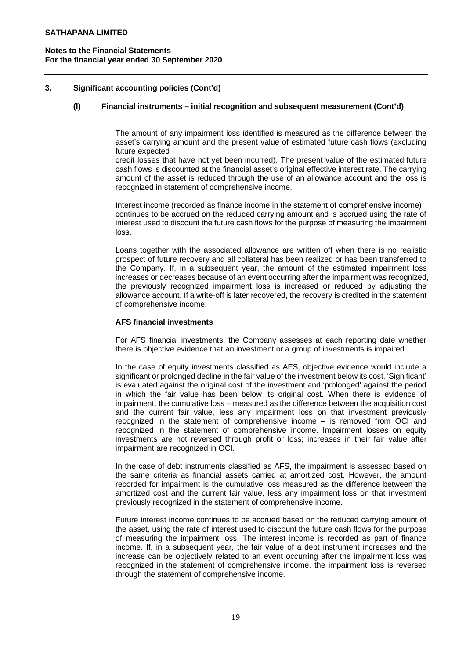# **3. Significant accounting policies (Cont'd)**

# **(l) Financial instruments – initial recognition and subsequent measurement (Cont'd)**

The amount of any impairment loss identified is measured as the difference between the asset's carrying amount and the present value of estimated future cash flows (excluding future expected

credit losses that have not yet been incurred). The present value of the estimated future cash flows is discounted at the financial asset's original effective interest rate. The carrying amount of the asset is reduced through the use of an allowance account and the loss is recognized in statement of comprehensive income.

Interest income (recorded as finance income in the statement of comprehensive income) continues to be accrued on the reduced carrying amount and is accrued using the rate of interest used to discount the future cash flows for the purpose of measuring the impairment loss.

Loans together with the associated allowance are written off when there is no realistic prospect of future recovery and all collateral has been realized or has been transferred to the Company. If, in a subsequent year, the amount of the estimated impairment loss increases or decreases because of an event occurring after the impairment was recognized, the previously recognized impairment loss is increased or reduced by adjusting the allowance account. If a write-off is later recovered, the recovery is credited in the statement of comprehensive income.

### **AFS financial investments**

For AFS financial investments, the Company assesses at each reporting date whether there is objective evidence that an investment or a group of investments is impaired.

In the case of equity investments classified as AFS, objective evidence would include a significant or prolonged decline in the fair value of the investment below its cost. 'Significant' is evaluated against the original cost of the investment and 'prolonged' against the period in which the fair value has been below its original cost. When there is evidence of impairment, the cumulative loss – measured as the difference between the acquisition cost and the current fair value, less any impairment loss on that investment previously recognized in the statement of comprehensive income – is removed from OCI and recognized in the statement of comprehensive income. Impairment losses on equity investments are not reversed through profit or loss; increases in their fair value after impairment are recognized in OCI.

In the case of debt instruments classified as AFS, the impairment is assessed based on the same criteria as financial assets carried at amortized cost. However, the amount recorded for impairment is the cumulative loss measured as the difference between the amortized cost and the current fair value, less any impairment loss on that investment previously recognized in the statement of comprehensive income.

Future interest income continues to be accrued based on the reduced carrying amount of the asset, using the rate of interest used to discount the future cash flows for the purpose of measuring the impairment loss. The interest income is recorded as part of finance income. If, in a subsequent year, the fair value of a debt instrument increases and the increase can be objectively related to an event occurring after the impairment loss was recognized in the statement of comprehensive income, the impairment loss is reversed through the statement of comprehensive income.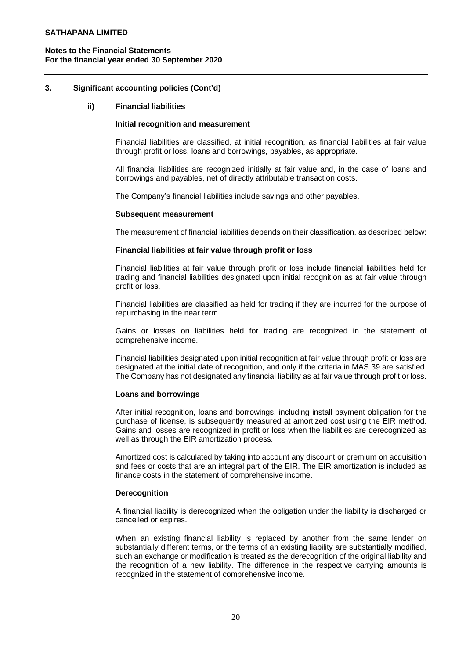# **3. Significant accounting policies (Cont'd)**

#### **ii) Financial liabilities**

#### **Initial recognition and measurement**

Financial liabilities are classified, at initial recognition, as financial liabilities at fair value through profit or loss, loans and borrowings, payables, as appropriate.

All financial liabilities are recognized initially at fair value and, in the case of loans and borrowings and payables, net of directly attributable transaction costs.

The Company's financial liabilities include savings and other payables.

#### **Subsequent measurement**

The measurement of financial liabilities depends on their classification, as described below:

### **Financial liabilities at fair value through profit or loss**

Financial liabilities at fair value through profit or loss include financial liabilities held for trading and financial liabilities designated upon initial recognition as at fair value through profit or loss.

Financial liabilities are classified as held for trading if they are incurred for the purpose of repurchasing in the near term.

Gains or losses on liabilities held for trading are recognized in the statement of comprehensive income.

Financial liabilities designated upon initial recognition at fair value through profit or loss are designated at the initial date of recognition, and only if the criteria in MAS 39 are satisfied. The Company has not designated any financial liability as at fair value through profit or loss.

# **Loans and borrowings**

After initial recognition, loans and borrowings, including install payment obligation for the purchase of license, is subsequently measured at amortized cost using the EIR method. Gains and losses are recognized in profit or loss when the liabilities are derecognized as well as through the EIR amortization process.

Amortized cost is calculated by taking into account any discount or premium on acquisition and fees or costs that are an integral part of the EIR. The EIR amortization is included as finance costs in the statement of comprehensive income.

#### **Derecognition**

A financial liability is derecognized when the obligation under the liability is discharged or cancelled or expires.

When an existing financial liability is replaced by another from the same lender on substantially different terms, or the terms of an existing liability are substantially modified, such an exchange or modification is treated as the derecognition of the original liability and the recognition of a new liability. The difference in the respective carrying amounts is recognized in the statement of comprehensive income.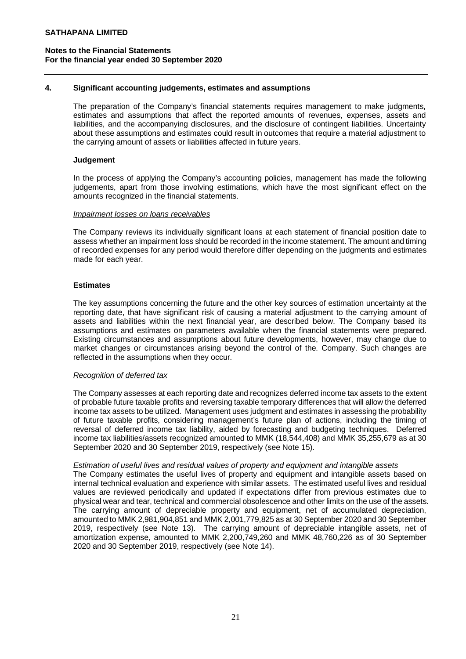## **4. Significant accounting judgements, estimates and assumptions**

The preparation of the Company's financial statements requires management to make judgments, estimates and assumptions that affect the reported amounts of revenues, expenses, assets and liabilities, and the accompanying disclosures, and the disclosure of contingent liabilities. Uncertainty about these assumptions and estimates could result in outcomes that require a material adjustment to the carrying amount of assets or liabilities affected in future years.

### **Judgement**

In the process of applying the Company's accounting policies, management has made the following judgements, apart from those involving estimations, which have the most significant effect on the amounts recognized in the financial statements.

#### *Impairment losses on loans receivables*

The Company reviews its individually significant loans at each statement of financial position date to assess whether an impairment loss should be recorded in the income statement. The amount and timing of recorded expenses for any period would therefore differ depending on the judgments and estimates made for each year.

### **Estimates**

The key assumptions concerning the future and the other key sources of estimation uncertainty at the reporting date, that have significant risk of causing a material adjustment to the carrying amount of assets and liabilities within the next financial year, are described below. The Company based its assumptions and estimates on parameters available when the financial statements were prepared. Existing circumstances and assumptions about future developments, however, may change due to market changes or circumstances arising beyond the control of the. Company. Such changes are reflected in the assumptions when they occur.

#### *Recognition of deferred tax*

The Company assesses at each reporting date and recognizes deferred income tax assets to the extent of probable future taxable profits and reversing taxable temporary differences that will allow the deferred income tax assets to be utilized. Management uses judgment and estimates in assessing the probability of future taxable profits, considering management's future plan of actions, including the timing of reversal of deferred income tax liability, aided by forecasting and budgeting techniques. Deferred income tax liabilities/assets recognized amounted to MMK (18,544,408) and MMK 35,255,679 as at 30 September 2020 and 30 September 2019, respectively (see Note 15).

#### *Estimation of useful lives and residual values of property and equipment and intangible assets*

The Company estimates the useful lives of property and equipment and intangible assets based on internal technical evaluation and experience with similar assets. The estimated useful lives and residual values are reviewed periodically and updated if expectations differ from previous estimates due to physical wear and tear, technical and commercial obsolescence and other limits on the use of the assets. The carrying amount of depreciable property and equipment, net of accumulated depreciation, amounted to MMK 2,981,904,851 and MMK 2,001,779,825 as at 30 September 2020 and 30 September 2019, respectively (see Note 13). The carrying amount of depreciable intangible assets, net of amortization expense, amounted to MMK 2,200,749,260 and MMK 48,760,226 as of 30 September 2020 and 30 September 2019, respectively (see Note 14).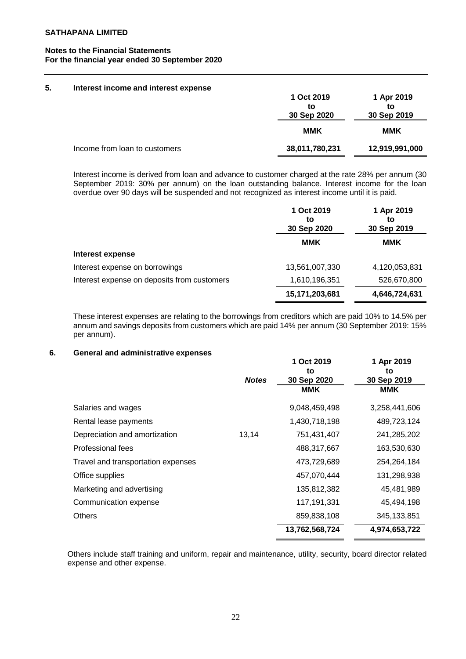#### **5. Interest income and interest expense 1 Oct 2019 to 30 Sep 2020 1 Apr 2019 to 30 Sep 2019 MMK MMK** Income from loan to customers **38,011,780,231 12,919,991,000**

Interest income is derived from loan and advance to customer charged at the rate 28% per annum (30 September 2019: 30% per annum) on the loan outstanding balance. Interest income for the loan overdue over 90 days will be suspended and not recognized as interest income until it is paid.

|                                             | 1 Oct 2019<br>to<br>30 Sep 2020 | 1 Apr 2019<br>to<br>30 Sep 2019 |
|---------------------------------------------|---------------------------------|---------------------------------|
|                                             | <b>MMK</b>                      | MMK                             |
| Interest expense                            |                                 |                                 |
| Interest expense on borrowings              | 13,561,007,330                  | 4,120,053,831                   |
| Interest expense on deposits from customers | 1,610,196,351                   | 526,670,800                     |
|                                             | 15,171,203,681                  | 4,646,724,631                   |

These interest expenses are relating to the borrowings from creditors which are paid 10% to 14.5% per annum and savings deposits from customers which are paid 14% per annum (30 September 2019: 15% per annum).

# **6. General and administrative expenses**

|                                    |              | 1 Oct 2019<br>to | 1 Apr 2019<br>to |
|------------------------------------|--------------|------------------|------------------|
|                                    | <b>Notes</b> | 30 Sep 2020      | 30 Sep 2019      |
|                                    |              | <b>MMK</b>       | MMK              |
| Salaries and wages                 |              | 9,048,459,498    | 3,258,441,606    |
| Rental lease payments              |              | 1,430,718,198    | 489,723,124      |
| Depreciation and amortization      | 13,14        | 751,431,407      | 241,285,202      |
| Professional fees                  |              | 488,317,667      | 163,530,630      |
| Travel and transportation expenses |              | 473,729,689      | 254,264,184      |
| Office supplies                    |              | 457,070,444      | 131,298,938      |
| Marketing and advertising          |              | 135,812,382      | 45,481,989       |
| Communication expense              |              | 117,191,331      | 45,494,198       |
| <b>Others</b>                      |              | 859,838,108      | 345, 133, 851    |
|                                    |              | 13,762,568,724   | 4,974,653,722    |
|                                    |              |                  |                  |

Others include staff training and uniform, repair and maintenance, utility, security, board director related expense and other expense.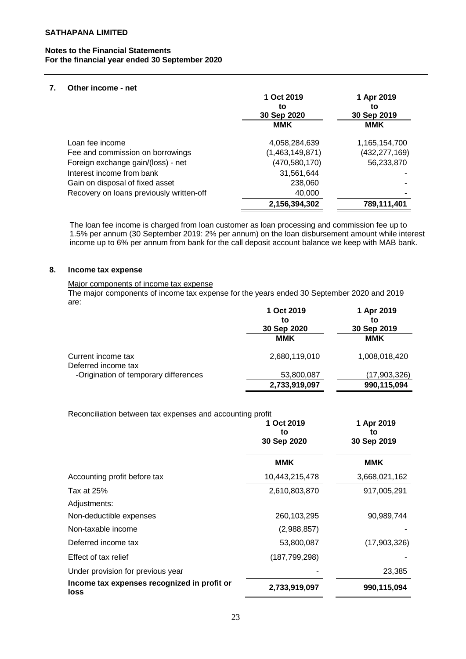### **7. Other income - net**

|                                          | 1 Oct 2019<br>to<br>30 Sep 2020 | 1 Apr 2019<br>to<br>30 Sep 2019 |
|------------------------------------------|---------------------------------|---------------------------------|
|                                          | <b>MMK</b>                      | <b>MMK</b>                      |
| Loan fee income                          | 4,058,284,639                   | 1,165,154,700                   |
| Fee and commission on borrowings         | (1,463,149,871)                 | (432, 277, 169)                 |
| Foreign exchange gain/(loss) - net       | (470, 580, 170)                 | 56,233,870                      |
| Interest income from bank                | 31,561,644                      |                                 |
| Gain on disposal of fixed asset          | 238,060                         |                                 |
| Recovery on loans previously written-off | 40,000                          |                                 |
|                                          | 2,156,394,302                   | 789,111,401                     |

The loan fee income is charged from loan customer as loan processing and commission fee up to 1.5% per annum (30 September 2019: 2% per annum) on the loan disbursement amount while interest income up to 6% per annum from bank for the call deposit account balance we keep with MAB bank.

### **8. Income tax expense**

#### Major components of income tax expense

The major components of income tax expense for the years ended 30 September 2020 and 2019 are:

|                                           | 1 Oct 2019    | 1 Apr 2019    |
|-------------------------------------------|---------------|---------------|
|                                           | to            | to            |
|                                           | 30 Sep 2020   | 30 Sep 2019   |
|                                           | MMK           | MMK           |
| Current income tax<br>Deferred income tax | 2,680,119,010 | 1,008,018,420 |
| -Origination of temporary differences     | 53,800,087    | (17,903,326)  |
|                                           | 2,733,919,097 | 990,115,094   |

### Reconciliation between tax expenses and accounting profit

|                                                     | 1 Oct 2019<br>to<br>30 Sep 2020 | 1 Apr 2019<br>to<br>30 Sep 2019 |  |
|-----------------------------------------------------|---------------------------------|---------------------------------|--|
|                                                     | <b>MMK</b>                      | <b>MMK</b>                      |  |
| Accounting profit before tax                        | 10,443,215,478                  | 3,668,021,162                   |  |
| Tax at 25%<br>Adjustments:                          | 2,610,803,870                   | 917,005,291                     |  |
| Non-deductible expenses                             | 260,103,295                     | 90,989,744                      |  |
| Non-taxable income                                  | (2,988,857)                     |                                 |  |
| Deferred income tax                                 | 53,800,087                      | (17,903,326)                    |  |
| Effect of tax relief                                | (187, 799, 298)                 |                                 |  |
| Under provision for previous year                   |                                 | 23,385                          |  |
| Income tax expenses recognized in profit or<br>loss | 2,733,919,097                   | 990,115,094                     |  |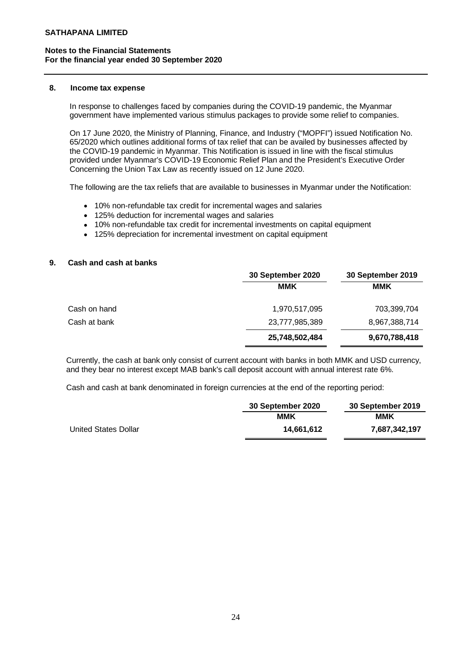#### **8. Income tax expense**

In response to challenges faced by companies during the COVID-19 pandemic, the Myanmar government have implemented various stimulus packages to provide some relief to companies.

On 17 June 2020, the Ministry of Planning, Finance, and Industry ("MOPFI") issued Notification No. 65/2020 which outlines additional forms of tax relief that can be availed by businesses affected by the COVID-19 pandemic in Myanmar. This Notification is issued in line with the fiscal stimulus provided under Myanmar's COVID-19 Economic Relief Plan and the President's Executive Order Concerning the Union Tax Law as recently issued on 12 June 2020.

The following are the tax reliefs that are available to businesses in Myanmar under the Notification:

- 10% non-refundable tax credit for incremental wages and salaries
- 125% deduction for incremental wages and salaries
- 10% non-refundable tax credit for incremental investments on capital equipment
- 125% depreciation for incremental investment on capital equipment

### **9. Cash and cash at banks**

|              | 30 September 2020 | 30 September 2019 |
|--------------|-------------------|-------------------|
|              | <b>MMK</b>        | MMK               |
| Cash on hand | 1,970,517,095     | 703,399,704       |
| Cash at bank | 23,777,985,389    | 8,967,388,714     |
|              | 25,748,502,484    | 9,670,788,418     |

Currently, the cash at bank only consist of current account with banks in both MMK and USD currency, and they bear no interest except MAB bank's call deposit account with annual interest rate 6%.

Cash and cash at bank denominated in foreign currencies at the end of the reporting period:

|                      | 30 September 2020 | 30 September 2019 |  |
|----------------------|-------------------|-------------------|--|
|                      | MMK               | ммк               |  |
| United States Dollar | 14.661.612        | 7,687,342,197     |  |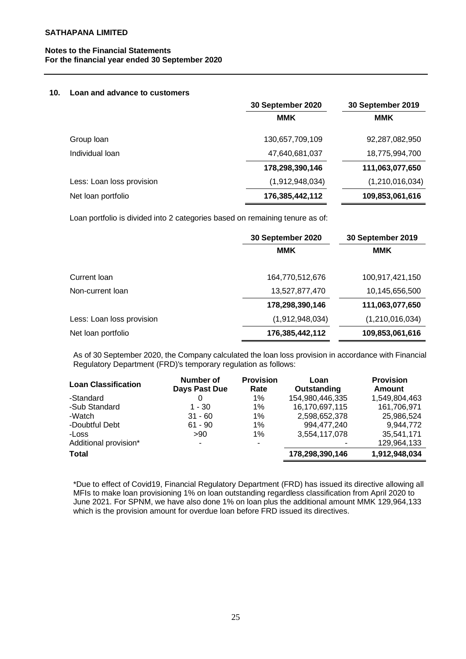## **Notes to the Financial Statements For the financial year ended 30 September 2020**

#### **10. Loan and advance to customers**

|                           | 30 September 2020 | 30 September 2019 |
|---------------------------|-------------------|-------------------|
|                           | <b>MMK</b>        | <b>MMK</b>        |
| Group loan                | 130,657,709,109   | 92,287,082,950    |
| Individual loan           | 47,640,681,037    | 18,775,994,700    |
|                           | 178,298,390,146   | 111,063,077,650   |
| Less: Loan loss provision | (1,912,948,034)   | (1,210,016,034)   |
| Net loan portfolio        | 176,385,442,112   | 109,853,061,616   |
|                           |                   |                   |

Loan portfolio is divided into 2 categories based on remaining tenure as of:

|                           | 30 September 2020 | 30 September 2019  |
|---------------------------|-------------------|--------------------|
|                           | <b>MMK</b>        | <b>MMK</b>         |
| Current Ioan              | 164,770,512,676   | 100,917,421,150    |
| Non-current loan          | 13,527,877,470    | 10,145,656,500     |
|                           | 178,298,390,146   | 111,063,077,650    |
| Less: Loan loss provision | (1,912,948,034)   | (1, 210, 016, 034) |
| Net loan portfolio        | 176,385,442,112   | 109,853,061,616    |

As of 30 September 2020, the Company calculated the loan loss provision in accordance with Financial Regulatory Department (FRD)'s temporary regulation as follows:

| <b>Loan Classification</b> | Number of<br>Days Past Due | <b>Provision</b><br>Rate | Loan<br>Outstanding      | <b>Provision</b><br>Amount |
|----------------------------|----------------------------|--------------------------|--------------------------|----------------------------|
| -Standard                  | 0                          | $1\%$                    | 154,980,446,335          | 1,549,804,463              |
| -Sub Standard              | $1 - 30$                   | 1%                       | 16,170,697,115           | 161,706,971                |
| -Watch                     | $31 - 60$                  | 1%                       | 2,598,652,378            | 25,986,524                 |
| -Doubtful Debt             | $61 - 90$                  | 1%                       | 994,477,240              | 9,944,772                  |
| -Loss                      | >90                        | 1%                       | 3,554,117,078            | 35,541,171                 |
| Additional provision*      | $\overline{\phantom{0}}$   |                          | $\overline{\phantom{0}}$ | 129,964,133                |
| <b>Total</b>               |                            |                          | 178,298,390,146          | 1,912,948,034              |

\*Due to effect of Covid19, Financial Regulatory Department (FRD) has issued its directive allowing all MFIs to make loan provisioning 1% on loan outstanding regardless classification from April 2020 to June 2021. For SPNM, we have also done 1% on loan plus the additional amount MMK 129,964,133 which is the provision amount for overdue loan before FRD issued its directives.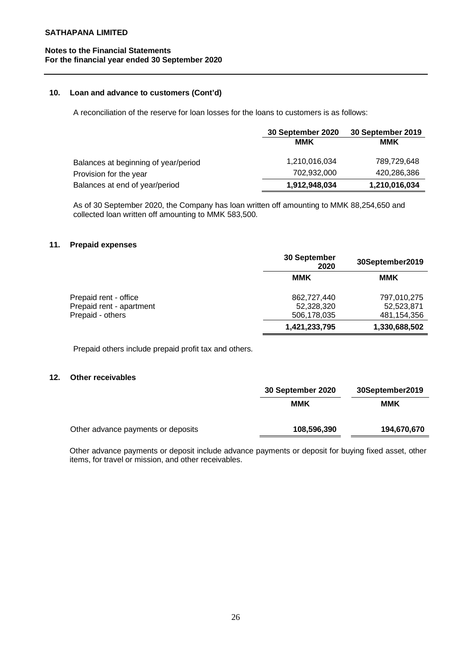# **Notes to the Financial Statements For the financial year ended 30 September 2020**

### **10. Loan and advance to customers (Cont'd)**

A reconciliation of the reserve for loan losses for the loans to customers is as follows:

|                                      | 30 September 2020 | 30 September 2019 |
|--------------------------------------|-------------------|-------------------|
|                                      | <b>MMK</b>        | <b>MMK</b>        |
| Balances at beginning of year/period | 1,210,016,034     | 789,729,648       |
| Provision for the year               | 702.932.000       | 420,286,386       |
| Balances at end of year/period       | 1,912,948,034     | 1,210,016,034     |

As of 30 September 2020, the Company has loan written off amounting to MMK 88,254,650 and collected loan written off amounting to MMK 583,500.

# **11. Prepaid expenses**

|                                                                       | 30 September<br>2020                     | 30September2019                          |
|-----------------------------------------------------------------------|------------------------------------------|------------------------------------------|
|                                                                       | MMK                                      | MMK                                      |
| Prepaid rent - office<br>Prepaid rent - apartment<br>Prepaid - others | 862,727,440<br>52,328,320<br>506,178,035 | 797,010,275<br>52,523,871<br>481,154,356 |
|                                                                       | 1,421,233,795                            | 1,330,688,502                            |

Prepaid others include prepaid profit tax and others.

# **12. Other receivables**

|                                    | 30 September 2020 | 30September2019 |  |
|------------------------------------|-------------------|-----------------|--|
|                                    | ммк               | <b>MMK</b>      |  |
| Other advance payments or deposits | 108,596,390       | 194,670,670     |  |

Other advance payments or deposit include advance payments or deposit for buying fixed asset, other items, for travel or mission, and other receivables.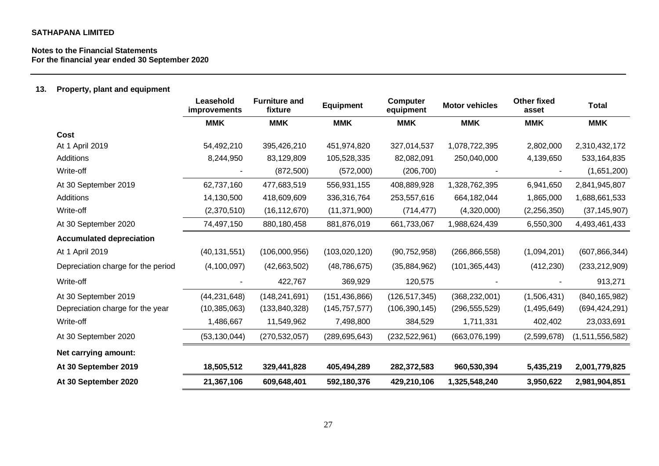# **Notes to the Financial Statements For the financial year ended 30 September 2020**

# **13. Property, plant and equipment**

|                                    | Leasehold<br>improvements | <b>Furniture and</b><br>fixture | <b>Equipment</b> | <b>Computer</b><br>equipment | <b>Motor vehicles</b> | <b>Other fixed</b><br>asset | <b>Total</b>    |
|------------------------------------|---------------------------|---------------------------------|------------------|------------------------------|-----------------------|-----------------------------|-----------------|
|                                    | <b>MMK</b>                | <b>MMK</b>                      | <b>MMK</b>       | <b>MMK</b>                   | <b>MMK</b>            | <b>MMK</b>                  | <b>MMK</b>      |
| <b>Cost</b>                        |                           |                                 |                  |                              |                       |                             |                 |
| At 1 April 2019                    | 54,492,210                | 395,426,210                     | 451,974,820      | 327,014,537                  | 1,078,722,395         | 2,802,000                   | 2,310,432,172   |
| Additions                          | 8,244,950                 | 83,129,809                      | 105,528,335      | 82,082,091                   | 250,040,000           | 4,139,650                   | 533,164,835     |
| Write-off                          |                           | (872, 500)                      | (572,000)        | (206, 700)                   |                       |                             | (1,651,200)     |
| At 30 September 2019               | 62,737,160                | 477,683,519                     | 556,931,155      | 408,889,928                  | 1,328,762,395         | 6,941,650                   | 2,841,945,807   |
| Additions                          | 14,130,500                | 418,609,609                     | 336,316,764      | 253,557,616                  | 664, 182, 044         | 1,865,000                   | 1,688,661,533   |
| Write-off                          | (2,370,510)               | (16, 112, 670)                  | (11, 371, 900)   | (714, 477)                   | (4,320,000)           | (2,256,350)                 | (37, 145, 907)  |
| At 30 September 2020               | 74,497,150                | 880,180,458                     | 881,876,019      | 661,733,067                  | 1,988,624,439         | 6,550,300                   | 4,493,461,433   |
| <b>Accumulated depreciation</b>    |                           |                                 |                  |                              |                       |                             |                 |
| At 1 April 2019                    | (40, 131, 551)            | (106,000,956)                   | (103, 020, 120)  | (90, 752, 958)               | (266, 866, 558)       | (1,094,201)                 | (607, 866, 344) |
| Depreciation charge for the period | (4, 100, 097)             | (42,663,502)                    | (48, 786, 675)   | (35,884,962)                 | (101, 365, 443)       | (412, 230)                  | (233, 212, 909) |
| Write-off                          |                           | 422,767                         | 369,929          | 120,575                      |                       |                             | 913,271         |
| At 30 September 2019               | (44, 231, 648)            | (148, 241, 691)                 | (151, 436, 866)  | (126, 517, 345)              | (368, 232, 001)       | (1,506,431)                 | (840, 165, 982) |
| Depreciation charge for the year   | (10, 385, 063)            | (133, 840, 328)                 | (145, 757, 577)  | (106, 390, 145)              | (296, 555, 529)       | (1,495,649)                 | (694, 424, 291) |
| Write-off                          | 1,486,667                 | 11,549,962                      | 7,498,800        | 384,529                      | 1,711,331             | 402,402                     | 23,033,691      |
| At 30 September 2020               | (53, 130, 044)            | (270, 532, 057)                 | (289, 695, 643)  | (232, 522, 961)              | (663,076,199)         | (2,599,678)                 | (1,511,556,582) |
| Net carrying amount:               |                           |                                 |                  |                              |                       |                             |                 |
| At 30 September 2019               | 18,505,512                | 329,441,828                     | 405,494,289      | 282,372,583                  | 960,530,394           | 5,435,219                   | 2,001,779,825   |
| At 30 September 2020               | 21,367,106                | 609,648,401                     | 592,180,376      | 429,210,106                  | 1,325,548,240         | 3,950,622                   | 2,981,904,851   |
|                                    |                           |                                 |                  |                              |                       |                             |                 |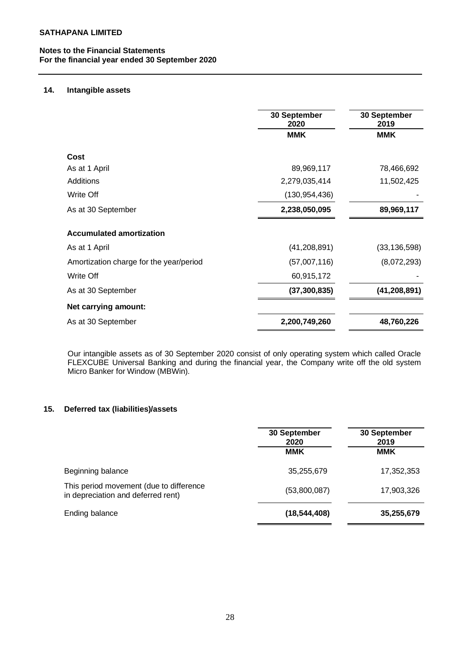# **14. Intangible assets**

|                                         | 30 September<br>2020 | 30 September<br>2019 |
|-----------------------------------------|----------------------|----------------------|
|                                         | <b>MMK</b>           | <b>MMK</b>           |
| Cost                                    |                      |                      |
| As at 1 April                           | 89,969,117           | 78,466,692           |
| <b>Additions</b>                        | 2,279,035,414        | 11,502,425           |
| Write Off                               | (130, 954, 436)      |                      |
| As at 30 September                      | 2,238,050,095        | 89,969,117           |
| <b>Accumulated amortization</b>         |                      |                      |
| As at 1 April                           | (41, 208, 891)       | (33, 136, 598)       |
| Amortization charge for the year/period | (57,007,116)         | (8,072,293)          |
| Write Off                               | 60,915,172           |                      |
| As at 30 September                      | (37, 300, 835)       | (41, 208, 891)       |
| Net carrying amount:                    |                      |                      |
| As at 30 September                      | 2,200,749,260        | 48,760,226           |

Our intangible assets as of 30 September 2020 consist of only operating system which called Oracle FLEXCUBE Universal Banking and during the financial year, the Company write off the old system Micro Banker for Window (MBWin).

# **15. Deferred tax (liabilities)/assets**

|                                                                               | 30 September<br>2020<br><b>MMK</b> | 30 September<br>2019<br><b>MMK</b> |
|-------------------------------------------------------------------------------|------------------------------------|------------------------------------|
| Beginning balance                                                             | 35,255,679                         | 17,352,353                         |
| This period movement (due to difference<br>in depreciation and deferred rent) | (53,800,087)                       | 17,903,326                         |
| Ending balance                                                                | (18, 544, 408)                     | 35,255,679                         |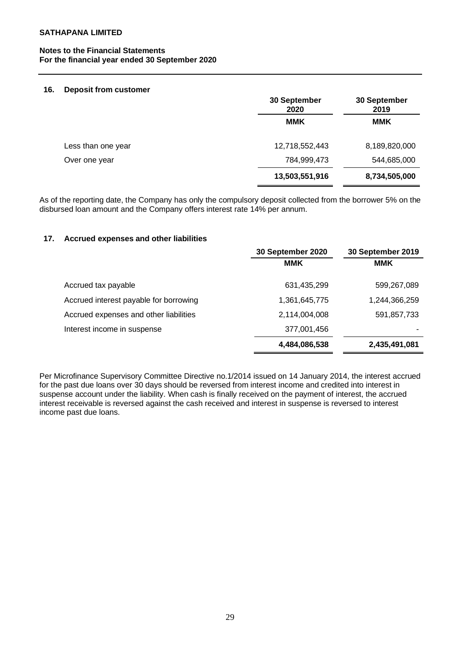### **Notes to the Financial Statements For the financial year ended 30 September 2020**

#### **16. Deposit from customer**

|                    | 30 September<br>2020 | 30 September<br>2019 |  |
|--------------------|----------------------|----------------------|--|
|                    | <b>MMK</b>           | <b>MMK</b>           |  |
| Less than one year | 12,718,552,443       | 8,189,820,000        |  |
| Over one year      | 784,999,473          | 544,685,000          |  |
|                    | 13,503,551,916       | 8,734,505,000        |  |

As of the reporting date, the Company has only the compulsory deposit collected from the borrower 5% on the disbursed loan amount and the Company offers interest rate 14% per annum.

## **17. Accrued expenses and other liabilities**

|                                        | 30 September 2020 | 30 September 2019 |
|----------------------------------------|-------------------|-------------------|
|                                        | <b>MMK</b>        | <b>MMK</b>        |
| Accrued tax payable                    | 631,435,299       | 599,267,089       |
| Accrued interest payable for borrowing | 1,361,645,775     | 1,244,366,259     |
| Accrued expenses and other liabilities | 2,114,004,008     | 591,857,733       |
| Interest income in suspense            | 377,001,456       |                   |
|                                        | 4,484,086,538     | 2,435,491,081     |

Per Microfinance Supervisory Committee Directive no.1/2014 issued on 14 January 2014, the interest accrued for the past due loans over 30 days should be reversed from interest income and credited into interest in suspense account under the liability. When cash is finally received on the payment of interest, the accrued interest receivable is reversed against the cash received and interest in suspense is reversed to interest income past due loans.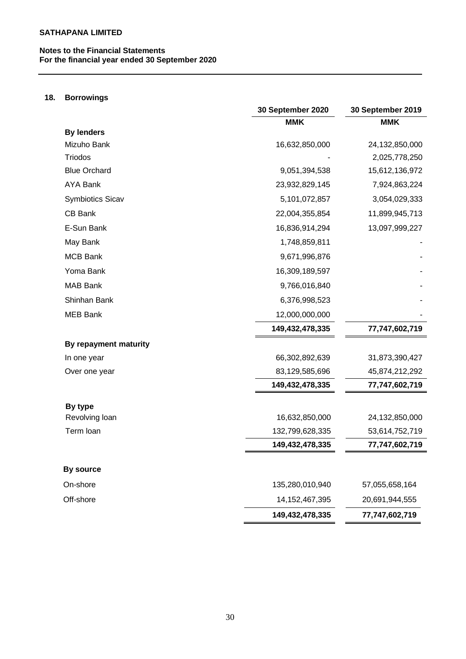# **18. Borrowings**

|                       | 30 September 2020 | 30 September 2019 |
|-----------------------|-------------------|-------------------|
|                       | <b>MMK</b>        | <b>MMK</b>        |
| <b>By lenders</b>     |                   |                   |
| Mizuho Bank           | 16,632,850,000    | 24,132,850,000    |
| <b>Triodos</b>        |                   | 2,025,778,250     |
| <b>Blue Orchard</b>   | 9,051,394,538     | 15,612,136,972    |
| <b>AYA Bank</b>       | 23,932,829,145    | 7,924,863,224     |
| Symbiotics Sicav      | 5,101,072,857     | 3,054,029,333     |
| CB Bank               | 22,004,355,854    | 11,899,945,713    |
| E-Sun Bank            | 16,836,914,294    | 13,097,999,227    |
| May Bank              | 1,748,859,811     |                   |
| <b>MCB Bank</b>       | 9,671,996,876     |                   |
| Yoma Bank             | 16,309,189,597    |                   |
| <b>MAB Bank</b>       | 9,766,016,840     |                   |
| Shinhan Bank          | 6,376,998,523     |                   |
| <b>MEB Bank</b>       | 12,000,000,000    |                   |
|                       | 149,432,478,335   | 77,747,602,719    |
| By repayment maturity |                   |                   |
| In one year           | 66,302,892,639    | 31,873,390,427    |
| Over one year         | 83,129,585,696    | 45,874,212,292    |
|                       | 149,432,478,335   | 77,747,602,719    |
| By type               |                   |                   |
| Revolving loan        | 16,632,850,000    | 24,132,850,000    |
| Term loan             | 132,799,628,335   | 53,614,752,719    |
|                       | 149,432,478,335   | 77,747,602,719    |
| By source             |                   |                   |
| On-shore              | 135,280,010,940   | 57,055,658,164    |
| Off-shore             | 14, 152, 467, 395 | 20,691,944,555    |
|                       | 149,432,478,335   | 77,747,602,719    |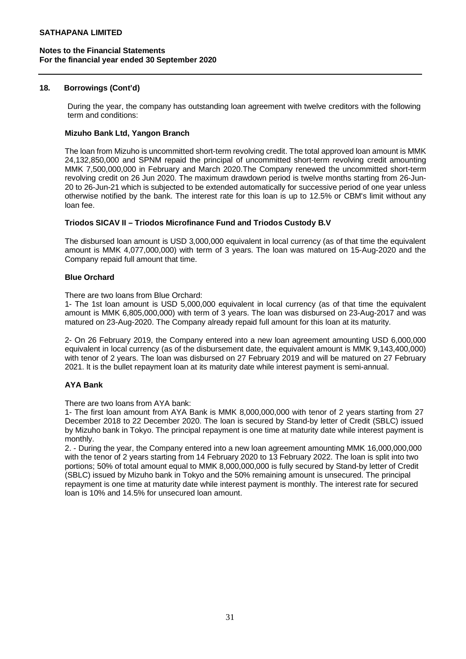### **18. Borrowings (Cont'd)**

During the year, the company has outstanding loan agreement with twelve creditors with the following term and conditions:

### **Mizuho Bank Ltd, Yangon Branch**

The loan from Mizuho is uncommitted short-term revolving credit. The total approved loan amount is MMK 24,132,850,000 and SPNM repaid the principal of uncommitted short-term revolving credit amounting MMK 7,500,000,000 in February and March 2020.The Company renewed the uncommitted short-term revolving credit on 26 Jun 2020. The maximum drawdown period is twelve months starting from 26-Jun-20 to 26-Jun-21 which is subjected to be extended automatically for successive period of one year unless otherwise notified by the bank. The interest rate for this loan is up to 12.5% or CBM's limit without any loan fee.

### **Triodos SICAV II – Triodos Microfinance Fund and Triodos Custody B.V**

The disbursed loan amount is USD 3,000,000 equivalent in local currency (as of that time the equivalent amount is MMK 4,077,000,000) with term of 3 years. The loan was matured on 15-Aug-2020 and the Company repaid full amount that time.

### **Blue Orchard**

There are two loans from Blue Orchard:

1- The 1st loan amount is USD 5,000,000 equivalent in local currency (as of that time the equivalent amount is MMK 6,805,000,000) with term of 3 years. The loan was disbursed on 23-Aug-2017 and was matured on 23-Aug-2020. The Company already repaid full amount for this loan at its maturity.

2- On 26 February 2019, the Company entered into a new loan agreement amounting USD 6,000,000 equivalent in local currency (as of the disbursement date, the equivalent amount is MMK 9,143,400,000) with tenor of 2 years. The loan was disbursed on 27 February 2019 and will be matured on 27 February 2021. lt is the bullet repayment loan at its maturity date while interest payment is semi-annual.

# **AYA Bank**

There are two loans from AYA bank:

1- The first loan amount from AYA Bank is MMK 8,000,000,000 with tenor of 2 years starting from 27 December 2018 to 22 December 2020. The loan is secured by Stand-by letter of Credit (SBLC) issued by Mizuho bank in Tokyo. The principal repayment is one time at maturity date while interest payment is monthly.

2. - During the year, the Company entered into a new loan agreement amounting MMK 16,000,000,000 with the tenor of 2 years starting from 14 February 2020 to 13 February 2022. The loan is split into two portions; 50% of total amount equal to MMK 8,000,000,000 is fully secured by Stand-by letter of Credit (SBLC) issued by Mizuho bank in Tokyo and the 50% remaining amount is unsecured. The principal repayment is one time at maturity date while interest payment is monthly. The interest rate for secured loan is 10% and 14.5% for unsecured loan amount.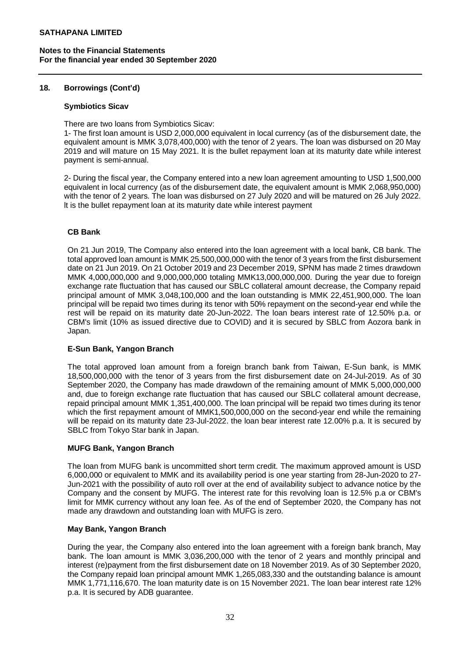### **18. Borrowings (Cont'd)**

#### **Symbiotics Sicav**

There are two loans from Symbiotics Sicav:

1- The first loan amount is USD 2,000,000 equivalent in local currency (as of the disbursement date, the equivalent amount is MMK 3,078,400,000) with the tenor of 2 years. The loan was disbursed on 20 May 2019 and will mature on 15 May 2021. lt is the bullet repayment loan at its maturity date while interest payment is semi-annual.

2- During the fiscal year, the Company entered into a new loan agreement amounting to USD 1,500,000 equivalent in local currency (as of the disbursement date, the equivalent amount is MMK 2,068,950,000) with the tenor of 2 years. The loan was disbursed on 27 July 2020 and will be matured on 26 July 2022. lt is the bullet repayment loan at its maturity date while interest payment

# **CB Bank**

On 21 Jun 2019, The Company also entered into the loan agreement with a local bank, CB bank. The total approved loan amount is MMK 25,500,000,000 with the tenor of 3 years from the first disbursement date on 21 Jun 2019. On 21 October 2019 and 23 December 2019, SPNM has made 2 times drawdown MMK 4,000,000,000 and 9,000,000,000 totaling MMK13,000,000,000. During the year due to foreign exchange rate fluctuation that has caused our SBLC collateral amount decrease, the Company repaid principal amount of MMK 3,048,100,000 and the loan outstanding is MMK 22,451,900,000. The loan principal will be repaid two times during its tenor with 50% repayment on the second-year end while the rest will be repaid on its maturity date 20-Jun-2022. The loan bears interest rate of 12.50% p.a. or CBM's limit (10% as issued directive due to COVID) and it is secured by SBLC from Aozora bank in Japan.

# **E-Sun Bank, Yangon Branch**

The total approved loan amount from a foreign branch bank from Taiwan, E-Sun bank, is MMK 18,500,000,000 with the tenor of 3 years from the first disbursement date on 24-Jul-2019. As of 30 September 2020, the Company has made drawdown of the remaining amount of MMK 5,000,000,000 and, due to foreign exchange rate fluctuation that has caused our SBLC collateral amount decrease, repaid principal amount MMK 1,351,400,000. The loan principal will be repaid two times during its tenor which the first repayment amount of MMK1,500,000,000 on the second-year end while the remaining will be repaid on its maturity date 23-Jul-2022. the loan bear interest rate 12.00% p.a. It is secured by SBLC from Tokyo Star bank in Japan.

# **MUFG Bank, Yangon Branch**

The loan from MUFG bank is uncommitted short term credit. The maximum approved amount is USD 6,000,000 or equivalent to MMK and its availability period is one year starting from 28-Jun-2020 to 27- Jun-2021 with the possibility of auto roll over at the end of availability subject to advance notice by the Company and the consent by MUFG. The interest rate for this revolving loan is 12.5% p.a or CBM's limit for MMK currency without any loan fee. As of the end of September 2020, the Company has not made any drawdown and outstanding loan with MUFG is zero.

# **May Bank, Yangon Branch**

During the year, the Company also entered into the loan agreement with a foreign bank branch, May bank. The loan amount is MMK 3,036,200,000 with the tenor of 2 years and monthly principal and interest (re)payment from the first disbursement date on 18 November 2019. As of 30 September 2020, the Company repaid loan principal amount MMK 1,265,083,330 and the outstanding balance is amount MMK 1,771,116,670. The loan maturity date is on 15 November 2021. The loan bear interest rate 12% p.a. It is secured by ADB guarantee.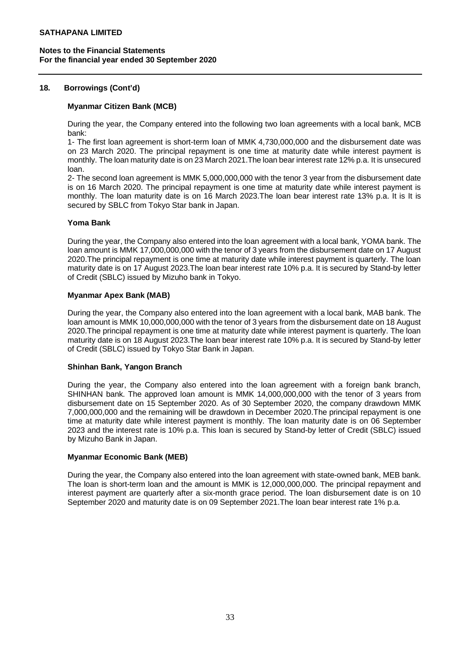## **18. Borrowings (Cont'd)**

#### **Myanmar Citizen Bank (MCB)**

During the year, the Company entered into the following two loan agreements with a local bank, MCB bank:

1- The first loan agreement is short-term loan of MMK 4,730,000,000 and the disbursement date was on 23 March 2020. The principal repayment is one time at maturity date while interest payment is monthly. The loan maturity date is on 23 March 2021.The loan bear interest rate 12% p.a. It is unsecured loan.

2- The second loan agreement is MMK 5,000,000,000 with the tenor 3 year from the disbursement date is on 16 March 2020. The principal repayment is one time at maturity date while interest payment is monthly. The loan maturity date is on 16 March 2023.The loan bear interest rate 13% p.a. It is It is secured by SBLC from Tokyo Star bank in Japan.

### **Yoma Bank**

During the year, the Company also entered into the loan agreement with a local bank, YOMA bank. The loan amount is MMK 17,000,000,000 with the tenor of 3 years from the disbursement date on 17 August 2020.The principal repayment is one time at maturity date while interest payment is quarterly. The loan maturity date is on 17 August 2023.The loan bear interest rate 10% p.a. It is secured by Stand-by letter of Credit (SBLC) issued by Mizuho bank in Tokyo.

### **Myanmar Apex Bank (MAB)**

During the year, the Company also entered into the loan agreement with a local bank, MAB bank. The loan amount is MMK 10,000,000,000 with the tenor of 3 years from the disbursement date on 18 August 2020.The principal repayment is one time at maturity date while interest payment is quarterly. The loan maturity date is on 18 August 2023.The loan bear interest rate 10% p.a. It is secured by Stand-by letter of Credit (SBLC) issued by Tokyo Star Bank in Japan.

#### **Shinhan Bank, Yangon Branch**

During the year, the Company also entered into the loan agreement with a foreign bank branch, SHINHAN bank. The approved loan amount is MMK 14,000,000,000 with the tenor of 3 years from disbursement date on 15 September 2020. As of 30 September 2020, the company drawdown MMK 7,000,000,000 and the remaining will be drawdown in December 2020.The principal repayment is one time at maturity date while interest payment is monthly. The loan maturity date is on 06 September 2023 and the interest rate is 10% p.a. This loan is secured by Stand-by letter of Credit (SBLC) issued by Mizuho Bank in Japan.

### **Myanmar Economic Bank (MEB)**

During the year, the Company also entered into the loan agreement with state-owned bank, MEB bank. The loan is short-term loan and the amount is MMK is 12,000,000,000. The principal repayment and interest payment are quarterly after a six-month grace period. The loan disbursement date is on 10 September 2020 and maturity date is on 09 September 2021.The loan bear interest rate 1% p.a.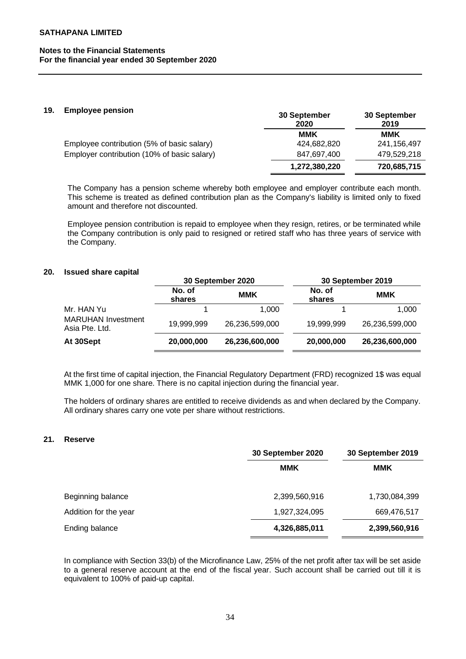#### **19. Employee pension**

| <b>LUPIOTO PURSION</b>                      | 30 September<br>2020 | 30 September<br>2019 |
|---------------------------------------------|----------------------|----------------------|
|                                             | MMK                  | MMK                  |
| Employee contribution (5% of basic salary)  | 424,682,820          | 241,156,497          |
| Employer contribution (10% of basic salary) | 847.697.400          | 479.529.218          |
|                                             | 1,272,380,220        | 720,685,715          |

The Company has a pension scheme whereby both employee and employer contribute each month. This scheme is treated as defined contribution plan as the Company's liability is limited only to fixed amount and therefore not discounted.

Employee pension contribution is repaid to employee when they resign, retires, or be terminated while the Company contribution is only paid to resigned or retired staff who has three years of service with the Company.

#### **20. Issued share capital**

|                                             |                  | 30 September 2020 |                  | 30 September 2019 |
|---------------------------------------------|------------------|-------------------|------------------|-------------------|
|                                             | No. of<br>shares | <b>MMK</b>        | No. of<br>shares | <b>MMK</b>        |
| Mr. HAN Yu                                  |                  | 1.000             |                  | 1.000             |
| <b>MARUHAN Investment</b><br>Asia Pte. Ltd. | 19,999,999       | 26,236,599,000    | 19.999.999       | 26,236,599,000    |
| At 30Sept                                   | 20,000,000       | 26,236,600,000    | 20,000,000       | 26,236,600,000    |

At the first time of capital injection, the Financial Regulatory Department (FRD) recognized 1\$ was equal MMK 1,000 for one share. There is no capital injection during the financial year.

The holders of ordinary shares are entitled to receive dividends as and when declared by the Company. All ordinary shares carry one vote per share without restrictions.

#### **21. Reserve**

|                       | 30 September 2020 | 30 September 2019 |  |
|-----------------------|-------------------|-------------------|--|
|                       | <b>MMK</b>        | <b>MMK</b>        |  |
| Beginning balance     | 2,399,560,916     | 1,730,084,399     |  |
| Addition for the year | 1,927,324,095     | 669,476,517       |  |
| Ending balance        | 4,326,885,011     | 2,399,560,916     |  |

In compliance with Section 33(b) of the Microfinance Law, 25% of the net profit after tax will be set aside to a general reserve account at the end of the fiscal year. Such account shall be carried out till it is equivalent to 100% of paid-up capital.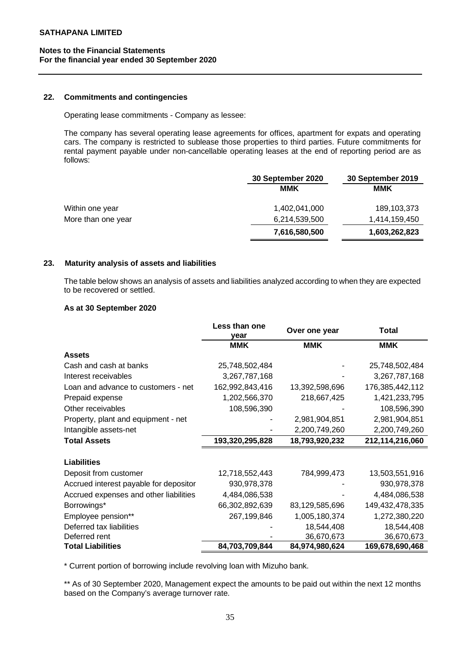# **Notes to the Financial Statements For the financial year ended 30 September 2020**

#### **22. Commitments and contingencies**

Operating lease commitments - Company as lessee:

The company has several operating lease agreements for offices, apartment for expats and operating cars. The company is restricted to sublease those properties to third parties. Future commitments for rental payment payable under non-cancellable operating leases at the end of reporting period are as follows:

|                    | 30 September 2020 | 30 September 2019 |
|--------------------|-------------------|-------------------|
|                    | MMK               | MMK               |
| Within one year    | 1,402,041,000     | 189, 103, 373     |
| More than one year | 6,214,539,500     | 1,414,159,450     |
|                    | 7,616,580,500     | 1,603,262,823     |

# **23. Maturity analysis of assets and liabilities**

The table below shows an analysis of assets and liabilities analyzed according to when they are expected to be recovered or settled.

## **As at 30 September 2020**

|                                        | Less than one<br>year | Over one year  | <b>Total</b>    |
|----------------------------------------|-----------------------|----------------|-----------------|
|                                        | <b>MMK</b>            | <b>MMK</b>     | <b>MMK</b>      |
| <b>Assets</b>                          |                       |                |                 |
| Cash and cash at banks                 | 25,748,502,484        |                | 25,748,502,484  |
| Interest receivables                   | 3,267,787,168         |                | 3,267,787,168   |
| Loan and advance to customers - net    | 162,992,843,416       | 13,392,598,696 | 176,385,442,112 |
| Prepaid expense                        | 1,202,566,370         | 218,667,425    | 1,421,233,795   |
| Other receivables                      | 108,596,390           |                | 108,596,390     |
| Property, plant and equipment - net    |                       | 2,981,904,851  | 2,981,904,851   |
| Intangible assets-net                  |                       | 2,200,749,260  | 2,200,749,260   |
| <b>Total Assets</b>                    | 193,320,295,828       | 18,793,920,232 | 212,114,216,060 |
|                                        |                       |                |                 |
| <b>Liabilities</b>                     |                       |                |                 |
| Deposit from customer                  | 12,718,552,443        | 784,999,473    | 13,503,551,916  |
| Accrued interest payable for depositor | 930,978,378           |                | 930,978,378     |
| Accrued expenses and other liabilities | 4,484,086,538         |                | 4,484,086,538   |
| Borrowings*                            | 66,302,892,639        | 83,129,585,696 | 149,432,478,335 |
| Employee pension**                     | 267,199,846           | 1,005,180,374  | 1,272,380,220   |
| Deferred tax liabilities               |                       | 18,544,408     | 18,544,408      |
| Deferred rent                          |                       | 36,670,673     | 36,670,673      |
| <b>Total Liabilities</b>               | 84,703,709,844        | 84,974,980,624 | 169,678,690,468 |

\* Current portion of borrowing include revolving loan with Mizuho bank.

\*\* As of 30 September 2020, Management expect the amounts to be paid out within the next 12 months based on the Company's average turnover rate.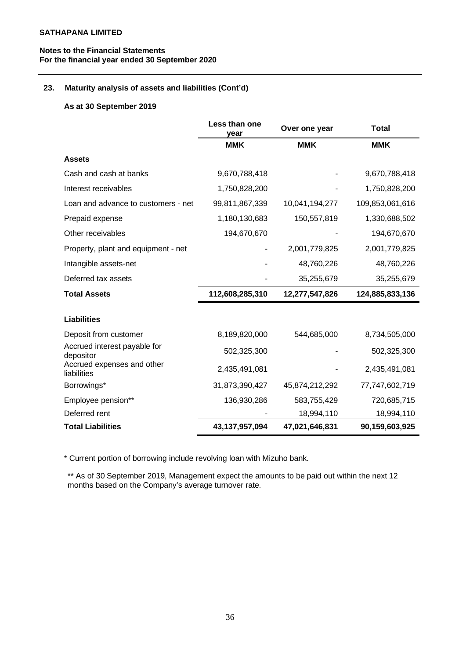# **Notes to the Financial Statements For the financial year ended 30 September 2020**

## **23. Maturity analysis of assets and liabilities (Cont'd)**

### **As at 30 September 2019**

|                                           | Less than one<br>year | Over one year  | <b>Total</b>    |
|-------------------------------------------|-----------------------|----------------|-----------------|
|                                           | <b>MMK</b>            | <b>MMK</b>     | <b>MMK</b>      |
| <b>Assets</b>                             |                       |                |                 |
| Cash and cash at banks                    | 9,670,788,418         |                | 9,670,788,418   |
| Interest receivables                      | 1,750,828,200         |                | 1,750,828,200   |
| Loan and advance to customers - net       | 99,811,867,339        | 10,041,194,277 | 109,853,061,616 |
| Prepaid expense                           | 1,180,130,683         | 150,557,819    | 1,330,688,502   |
| Other receivables                         | 194,670,670           |                | 194,670,670     |
| Property, plant and equipment - net       |                       | 2,001,779,825  | 2,001,779,825   |
| Intangible assets-net                     |                       | 48,760,226     | 48,760,226      |
| Deferred tax assets                       |                       | 35,255,679     | 35,255,679      |
| <b>Total Assets</b>                       | 112,608,285,310       | 12,277,547,826 | 124,885,833,136 |
|                                           |                       |                |                 |
| <b>Liabilities</b>                        |                       |                |                 |
| Deposit from customer                     | 8,189,820,000         | 544,685,000    | 8,734,505,000   |
| Accrued interest payable for<br>depositor | 502,325,300           |                | 502,325,300     |
| Accrued expenses and other<br>liabilities | 2,435,491,081         |                | 2,435,491,081   |
| Borrowings*                               | 31,873,390,427        | 45,874,212,292 | 77,747,602,719  |
| Employee pension**                        | 136,930,286           | 583,755,429    | 720,685,715     |
| Deferred rent                             |                       | 18,994,110     | 18,994,110      |
| <b>Total Liabilities</b>                  | 43,137,957,094        | 47,021,646,831 | 90,159,603,925  |

\* Current portion of borrowing include revolving loan with Mizuho bank.

\*\* As of 30 September 2019, Management expect the amounts to be paid out within the next 12 months based on the Company's average turnover rate.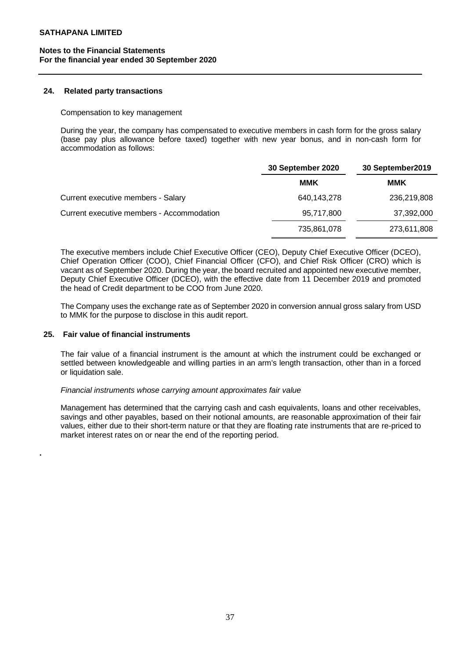# **Notes to the Financial Statements For the financial year ended 30 September 2020**

#### **24. Related party transactions**

#### Compensation to key management

During the year, the company has compensated to executive members in cash form for the gross salary (base pay plus allowance before taxed) together with new year bonus, and in non-cash form for accommodation as follows:

|                                           | 30 September 2020 | 30 September2019 |  |
|-------------------------------------------|-------------------|------------------|--|
|                                           | <b>MMK</b>        | MMK              |  |
| Current executive members - Salary        | 640,143,278       | 236,219,808      |  |
| Current executive members - Accommodation | 95,717,800        | 37,392,000       |  |
|                                           | 735,861,078       | 273,611,808      |  |

The executive members include Chief Executive Officer (CEO), Deputy Chief Executive Officer (DCEO), Chief Operation Officer (COO), Chief Financial Officer (CFO), and Chief Risk Officer (CRO) which is vacant as of September 2020. During the year, the board recruited and appointed new executive member, Deputy Chief Executive Officer (DCEO), with the effective date from 11 December 2019 and promoted the head of Credit department to be COO from June 2020.

The Company uses the exchange rate as of September 2020 in conversion annual gross salary from USD to MMK for the purpose to disclose in this audit report.

### **25. Fair value of financial instruments**

**.**

The fair value of a financial instrument is the amount at which the instrument could be exchanged or settled between knowledgeable and willing parties in an arm's length transaction, other than in a forced or liquidation sale.

#### *Financial instruments whose carrying amount approximates fair value*

Management has determined that the carrying cash and cash equivalents, loans and other receivables, savings and other payables, based on their notional amounts, are reasonable approximation of their fair values, either due to their short-term nature or that they are floating rate instruments that are re-priced to market interest rates on or near the end of the reporting period.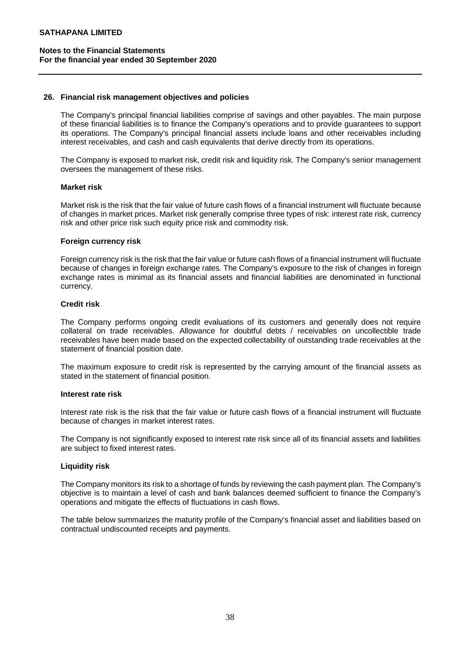### **26. Financial risk management objectives and policies**

The Company's principal financial liabilities comprise of savings and other payables. The main purpose of these financial liabilities is to finance the Company's operations and to provide guarantees to support its operations. The Company's principal financial assets include loans and other receivables including interest receivables, and cash and cash equivalents that derive directly from its operations.

The Company is exposed to market risk, credit risk and liquidity risk. The Company's senior management oversees the management of these risks.

#### **Market risk**

Market risk is the risk that the fair value of future cash flows of a financial instrument will fluctuate because of changes in market prices. Market risk generally comprise three types of risk: interest rate risk, currency risk and other price risk such equity price risk and commodity risk.

### **Foreign currency risk**

Foreign currency risk is the risk that the fair value or future cash flows of a financial instrument will fluctuate because of changes in foreign exchange rates. The Company's exposure to the risk of changes in foreign exchange rates is minimal as its financial assets and financial liabilities are denominated in functional currency.

### **Credit risk**

The Company performs ongoing credit evaluations of its customers and generally does not require collateral on trade receivables. Allowance for doubtful debts / receivables on uncollectible trade receivables have been made based on the expected collectability of outstanding trade receivables at the statement of financial position date.

The maximum exposure to credit risk is represented by the carrying amount of the financial assets as stated in the statement of financial position.

#### **Interest rate risk**

Interest rate risk is the risk that the fair value or future cash flows of a financial instrument will fluctuate because of changes in market interest rates.

The Company is not significantly exposed to interest rate risk since all of its financial assets and liabilities are subject to fixed interest rates.

# **Liquidity risk**

The Company monitors its risk to a shortage of funds by reviewing the cash payment plan. The Company's objective is to maintain a level of cash and bank balances deemed sufficient to finance the Company's operations and mitigate the effects of fluctuations in cash flows.

The table below summarizes the maturity profile of the Company's financial asset and liabilities based on contractual undiscounted receipts and payments.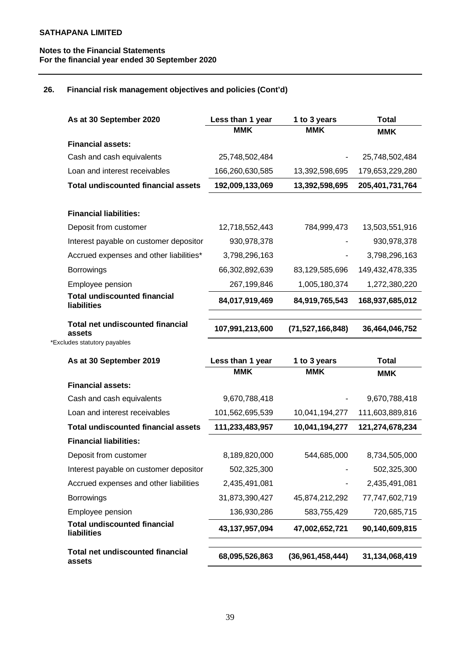# **Notes to the Financial Statements For the financial year ended 30 September 2020**

# **26. Financial risk management objectives and policies (Cont'd)**

| As at 30 September 2020                            | Less than 1 year | 1 to 3 years        | <b>Total</b>    |
|----------------------------------------------------|------------------|---------------------|-----------------|
|                                                    | <b>MMK</b>       | <b>MMK</b>          | <b>MMK</b>      |
| <b>Financial assets:</b>                           |                  |                     |                 |
| Cash and cash equivalents                          | 25,748,502,484   |                     | 25,748,502,484  |
| Loan and interest receivables                      | 166,260,630,585  | 13,392,598,695      | 179,653,229,280 |
| <b>Total undiscounted financial assets</b>         | 192,009,133,069  | 13,392,598,695      | 205,401,731,764 |
|                                                    |                  |                     |                 |
| <b>Financial liabilities:</b>                      |                  |                     |                 |
| Deposit from customer                              | 12,718,552,443   | 784,999,473         | 13,503,551,916  |
| Interest payable on customer depositor             | 930,978,378      |                     | 930,978,378     |
| Accrued expenses and other liabilities*            | 3,798,296,163    |                     | 3,798,296,163   |
| <b>Borrowings</b>                                  | 66,302,892,639   | 83,129,585,696      | 149,432,478,335 |
| Employee pension                                   | 267,199,846      | 1,005,180,374       | 1,272,380,220   |
| <b>Total undiscounted financial</b><br>liabilities | 84,017,919,469   | 84,919,765,543      | 168,937,685,012 |
| <b>Total net undiscounted financial</b><br>assets  | 107,991,213,600  | (71, 527, 166, 848) | 36,464,046,752  |
| *Excludes statutory payables                       |                  |                     |                 |
| As at 30 September 2019                            | Less than 1 year | 1 to 3 years        | <b>Total</b>    |
|                                                    | <b>MMK</b>       | <b>MMK</b>          | <b>MMK</b>      |
| <b>Financial assets:</b>                           |                  |                     |                 |
| Cash and cash equivalents                          | 9,670,788,418    |                     | 9,670,788,418   |
| Loan and interest receivables                      | 101,562,695,539  | 10,041,194,277      | 111,603,889,816 |
| <b>Total undiscounted financial assets</b>         | 111,233,483,957  | 10,041,194,277      | 121,274,678,234 |
| <b>Financial liabilities:</b>                      |                  |                     |                 |
| Deposit from customer                              | 8,189,820,000    | 544,685,000         | 8,734,505,000   |
| Interest payable on customer depositor             | 502,325,300      |                     | 502,325,300     |
| Accrued expenses and other liabilities             | 2,435,491,081    |                     | 2,435,491,081   |
| <b>Borrowings</b>                                  | 31,873,390,427   | 45,874,212,292      | 77,747,602,719  |
| Employee pension                                   | 136,930,286      | 583,755,429         | 720,685,715     |
| <b>Total undiscounted financial</b><br>liabilities | 43,137,957,094   | 47,002,652,721      | 90,140,609,815  |
| <b>Total net undiscounted financial</b>            |                  |                     |                 |
| assets                                             | 68,095,526,863   | (36,961,458,444)    | 31,134,068,419  |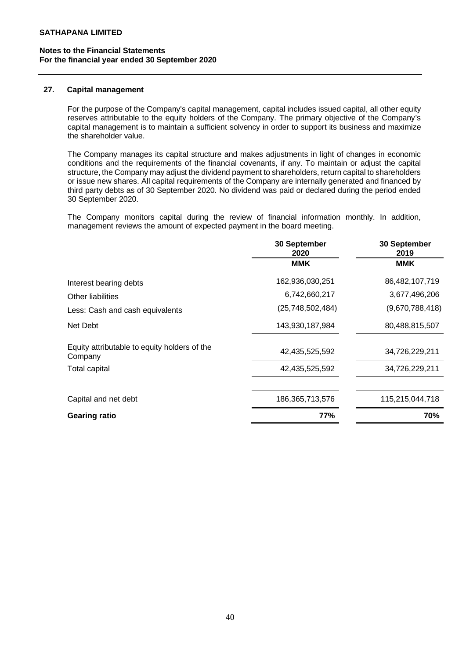## **Notes to the Financial Statements For the financial year ended 30 September 2020**

#### **27. Capital management**

For the purpose of the Company's capital management, capital includes issued capital, all other equity reserves attributable to the equity holders of the Company. The primary objective of the Company's capital management is to maintain a sufficient solvency in order to support its business and maximize the shareholder value.

The Company manages its capital structure and makes adjustments in light of changes in economic conditions and the requirements of the financial covenants, if any. To maintain or adjust the capital structure, the Company may adjust the dividend payment to shareholders, return capital to shareholders or issue new shares. All capital requirements of the Company are internally generated and financed by third party debts as of 30 September 2020. No dividend was paid or declared during the period ended 30 September 2020.

The Company monitors capital during the review of financial information monthly. In addition, management reviews the amount of expected payment in the board meeting.

|                                                         | 30 September<br>2020 | 30 September<br>2019 |
|---------------------------------------------------------|----------------------|----------------------|
|                                                         | <b>MMK</b>           | <b>MMK</b>           |
| Interest bearing debts                                  | 162,936,030,251      | 86,482,107,719       |
| Other liabilities                                       | 6,742,660,217        | 3,677,496,206        |
| Less: Cash and cash equivalents                         | (25,748,502,484)     | (9,670,788,418)      |
| Net Debt                                                | 143,930,187,984      | 80,488,815,507       |
| Equity attributable to equity holders of the<br>Company | 42,435,525,592       | 34,726,229,211       |
| Total capital                                           | 42,435,525,592       | 34,726,229,211       |
| Capital and net debt                                    | 186,365,713,576      | 115,215,044,718      |
|                                                         |                      |                      |
| <b>Gearing ratio</b>                                    | 77%                  | 70%                  |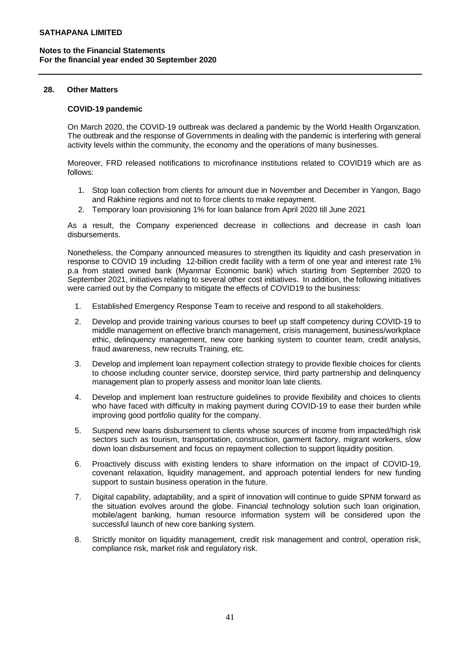#### **28. Other Matters**

### **COVID-19 pandemic**

On March 2020, the COVID-19 outbreak was declared a pandemic by the World Health Organization. The outbreak and the response of Governments in dealing with the pandemic is interfering with general activity levels within the community, the economy and the operations of many businesses.

Moreover, FRD released notifications to microfinance institutions related to COVID19 which are as follows:

- 1. Stop loan collection from clients for amount due in November and December in Yangon, Bago and Rakhine regions and not to force clients to make repayment.
- 2. Temporary loan provisioning 1% for loan balance from April 2020 till June 2021

As a result, the Company experienced decrease in collections and decrease in cash loan disbursements.

Nonetheless, the Company announced measures to strengthen its liquidity and cash preservation in response to COVID 19 including 12-billion credit facility with a term of one year and interest rate 1% p.a from stated owned bank (Myanmar Economic bank) which starting from September 2020 to September 2021, initiatives relating to several other cost initiatives. In addition, the following initiatives were carried out by the Company to mitigate the effects of COVID19 to the business:

- 1. Established Emergency Response Team to receive and respond to all stakeholders.
- 2. Develop and provide training various courses to beef up staff competency during COVID-19 to middle management on effective branch management, crisis management, business/workplace ethic, delinquency management, new core banking system to counter team, credit analysis, fraud awareness, new recruits Training, etc.
- 3. Develop and implement loan repayment collection strategy to provide flexible choices for clients to choose including counter service, doorstep service, third party partnership and delinquency management plan to properly assess and monitor loan late clients.
- 4. Develop and implement loan restructure guidelines to provide flexibility and choices to clients who have faced with difficulty in making payment during COVID-19 to ease their burden while improving good portfolio quality for the company.
- 5. Suspend new loans disbursement to clients whose sources of income from impacted/high risk sectors such as tourism, transportation, construction, garment factory, migrant workers, slow down loan disbursement and focus on repayment collection to support liquidity position.
- 6. Proactively discuss with existing lenders to share information on the impact of COVID-19, covenant relaxation, liquidity management, and approach potential lenders for new funding support to sustain business operation in the future.
- 7. Digital capability, adaptability, and a spirit of innovation will continue to guide SPNM forward as the situation evolves around the globe. Financial technology solution such loan origination, mobile/agent banking, human resource information system will be considered upon the successful launch of new core banking system.
- 8. Strictly monitor on liquidity management, credit risk management and control, operation risk, compliance risk, market risk and regulatory risk.